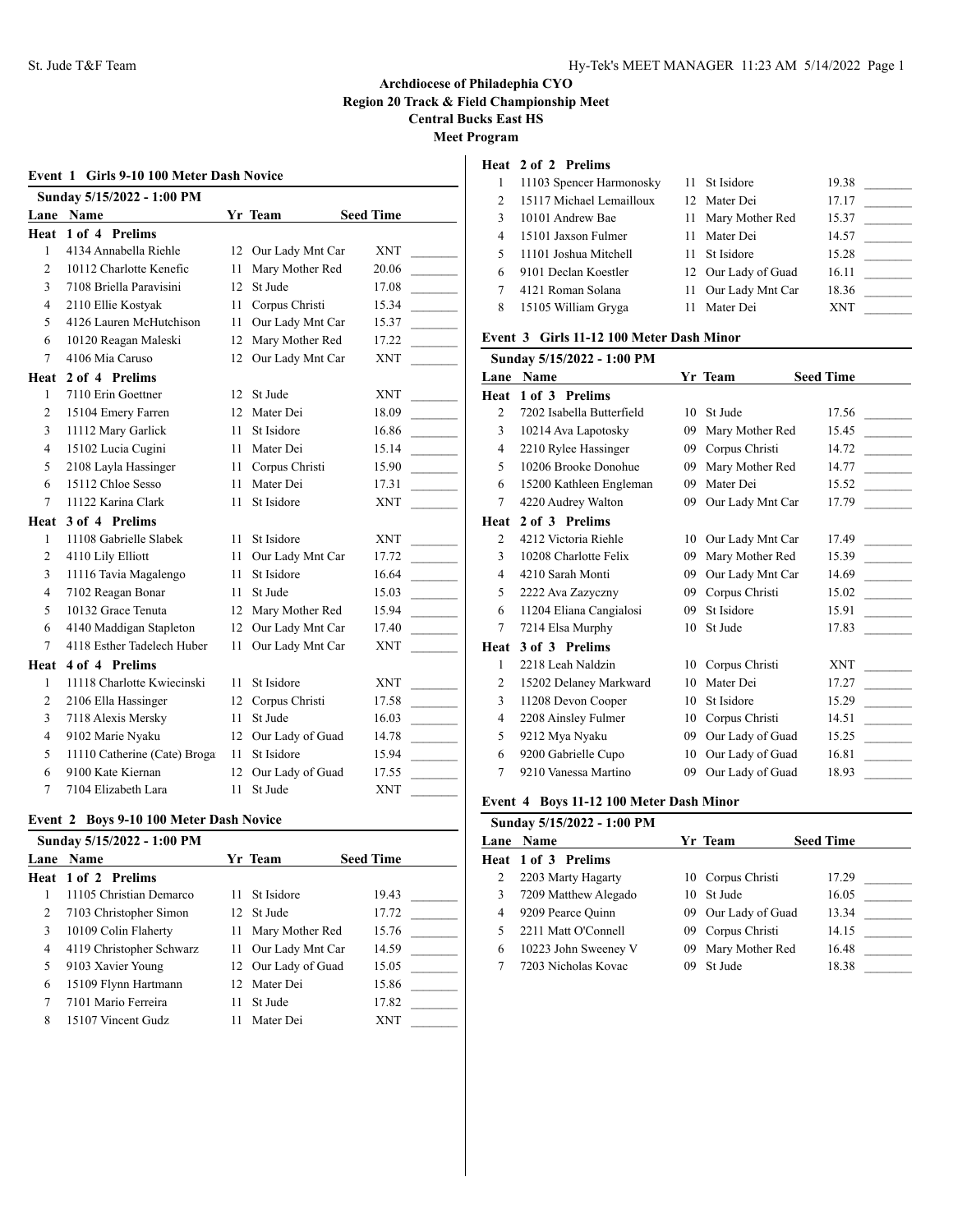# **Event 1 Girls 9-10 100 Meter Dash Novice Sunday 5/15/2022 - 1:00 PM Lane Name Yr Team Seed Time Heat 1 of 4 Prelims** 1 4134 Annabella Riehle 12 Our Lady Mnt Car XNT 2 10112 Charlotte Kenefic 11 Mary Mother Red 20.06 3 7108 Briella Paravisini 12 St Jude 17.08 4 2110 Ellie Kostyak 11 Corpus Christi 15.34 5 4126 Lauren McHutchison 11 Our Lady Mnt Car 15.37 6 10120 Reagan Maleski 12 Mary Mother Red 17.22 7 4106 Mia Caruso 12 Our Lady Mnt Car XNT \_\_\_\_\_\_\_\_\_ **Heat 2 of 4 Prelims** 1 7110 Erin Goettner 12 St Jude XNT 2 15104 Emery Farren 12 Mater Dei 18.09 3 11112 Mary Garlick 11 St Isidore 16.86 4 15102 Lucia Cugini 11 Mater Dei 15.14 5 2108 Layla Hassinger 11 Corpus Christi 15.90 6 15112 Chloe Sesso 11 Mater Dei 17.31 \_\_\_\_\_\_\_\_\_ 7 11122 Karina Clark 11 St Isidore XNT **Heat 3 of 4 Prelims** 1 11108 Gabrielle Slabek 11 St Isidore XNT \_\_\_\_\_\_\_\_\_ 2 4110 Lily Elliott 11 Our Lady Mnt Car 17.72 3 11116 Tavia Magalengo 11 St Isidore 16.64 4 7102 Reagan Bonar 11 St Jude 15.03 5 10132 Grace Tenuta 12 Mary Mother Red 15.94 6 4140 Maddigan Stapleton 12 Our Lady Mnt Car 17.40 7 4118 Esther Tadelech Huber 11 Our Lady Mnt Car XNT **Heat 4 of 4 Prelims** 1 11118 Charlotte Kwiecinski 11 St Isidore XNT \_\_\_\_\_\_\_\_\_ 2 2106 Ella Hassinger 12 Corpus Christi 17.58 3 7118 Alexis Mersky 11 St Jude 16.03 4 9102 Marie Nyaku 12 Our Lady of Guad 14.78 5 11110 Catherine (Cate) Broga 11 St Isidore 15.94 6 9100 Kate Kiernan 12 Our Lady of Guad 17.55 7 7104 Elizabeth Lara 11 St Jude XNT

#### **Event 2 Boys 9-10 100 Meter Dash Novice**

|   | Sunday 5/15/2022 - 1:00 PM |     |                     |                  |
|---|----------------------------|-----|---------------------|------------------|
|   | Lane Name                  |     | Yr Team             | <b>Seed Time</b> |
|   | Heat 1 of 2 Prelims        |     |                     |                  |
|   | 11105 Christian Demarco    | 11  | St Isidore          | 19.43            |
| 2 | 7103 Christopher Simon     |     | 12 St Jude          | 17.72            |
| 3 | 10109 Colin Flaherty       | 11  | Mary Mother Red     | 15.76            |
| 4 | 4119 Christopher Schwarz   | 11. | Our Lady Mnt Car    | 14.59            |
| 5 | 9103 Xavier Young          |     | 12 Our Lady of Guad | 15.05            |
| 6 | 15109 Flynn Hartmann       |     | 12 Mater Dei        | 15.86            |
| 7 | 7101 Mario Ferreira        | 11  | St Jude             | 17.82            |
| 8 | 15107 Vincent Gudz         |     | Mater Dei           | <b>XNT</b>       |

#### **Heat 2 of 2 Prelims**

|                | 11103 Spencer Harmonosky |     | 11 St Isidore       | 19.38      |
|----------------|--------------------------|-----|---------------------|------------|
| $\mathfrak{D}$ | 15117 Michael Lemailloux |     | 12 Mater Dei        | 17.17      |
|                | 10101 Andrew Bae         |     | 11 Mary Mother Red  | 15.37      |
|                | 15101 Jaxson Fulmer      | 11. | Mater Dei           | 14.57      |
|                | 11101 Joshua Mitchell    |     | 11 St Isidore       | 15.28      |
|                | 9101 Declan Koestler     |     | 12 Our Lady of Guad | 16.11      |
|                | 4121 Roman Solana        |     | 11 Our Lady Mnt Car | 18.36      |
| 8              | 15105 William Gryga      |     | Mater Dei           | <b>XNT</b> |

#### **Event 3 Girls 11-12 100 Meter Dash Minor**

|                | Sunday 5/15/2022 - 1:00 PM |    |                  |                  |
|----------------|----------------------------|----|------------------|------------------|
| Lane           | <b>Name</b>                |    | Yr Team          | <b>Seed Time</b> |
| Heat           | 1 of 3 Prelims             |    |                  |                  |
| $\overline{c}$ | 7202 Isabella Butterfield  | 10 | St Jude          | 17.56            |
| 3              | 10214 Ava Lapotosky        | 09 | Mary Mother Red  | 15.45            |
| $\overline{4}$ | 2210 Rylee Hassinger       | 09 | Corpus Christi   | 14.72            |
| 5              | 10206 Brooke Donohue       | 09 | Mary Mother Red  | 14.77            |
| 6              | 15200 Kathleen Engleman    | 09 | Mater Dei        | 15.52            |
| 7              | 4220 Audrey Walton         | 09 | Our Lady Mnt Car | 17.79            |
| Heat           | 2 of 3 Prelims             |    |                  |                  |
| 2              | 4212 Victoria Riehle       | 10 | Our Lady Mnt Car | 17.49            |
| 3              | 10208 Charlotte Felix      | 09 | Mary Mother Red  | 15.39            |
| $\overline{4}$ | 4210 Sarah Monti           | 09 | Our Lady Mnt Car | 14.69            |
| 5              | 2222 Ava Zazyczny          | 09 | Corpus Christi   | 15.02            |
| 6              | 11204 Eliana Cangialosi    | 09 | St Isidore       | 15.91            |
| 7              | 7214 Elsa Murphy           | 10 | St Jude          | 17.83            |
| Heat           | 3 of 3 Prelims             |    |                  |                  |
| 1              | 2218 Leah Naldzin          | 10 | Corpus Christi   | <b>XNT</b>       |
| 2              | 15202 Delaney Markward     | 10 | Mater Dei        | 17.27            |
| 3              | 11208 Devon Cooper         | 10 | St Isidore       | 15.29            |
| $\overline{4}$ | 2208 Ainsley Fulmer        | 10 | Corpus Christi   | 14.51            |
| 5              | 9212 Mya Nyaku             | 09 | Our Lady of Guad | 15.25            |
| 6              | 9200 Gabrielle Cupo        | 10 | Our Lady of Guad | 16.81            |
| 7              | 9210 Vanessa Martino       | 09 | Our Lady of Guad | 18.93            |

#### **Event 4 Boys 11-12 100 Meter Dash Minor**

|   | Sunday 5/15/2022 - 1:00 PM |     |                     |                  |
|---|----------------------------|-----|---------------------|------------------|
|   | <b>Lane Name</b>           |     | Yr Team             | <b>Seed Time</b> |
|   | <b>Heat 1 of 3 Prelims</b> |     |                     |                  |
|   | 2203 Marty Hagarty         |     | 10 Corpus Christi   | 17.29            |
|   | 7209 Matthew Alegado       |     | 10 St Jude          | 16.05            |
| 4 | 9209 Pearce Ouinn          |     | 09 Our Lady of Guad | 13.34            |
|   | 2211 Matt O'Connell        | 09. | Corpus Christi      | 14.15            |
| 6 | 10223 John Sweeney V       |     | 09 Mary Mother Red  | 16.48            |
|   | 7203 Nicholas Kovac        |     | St Jude             | 18.38            |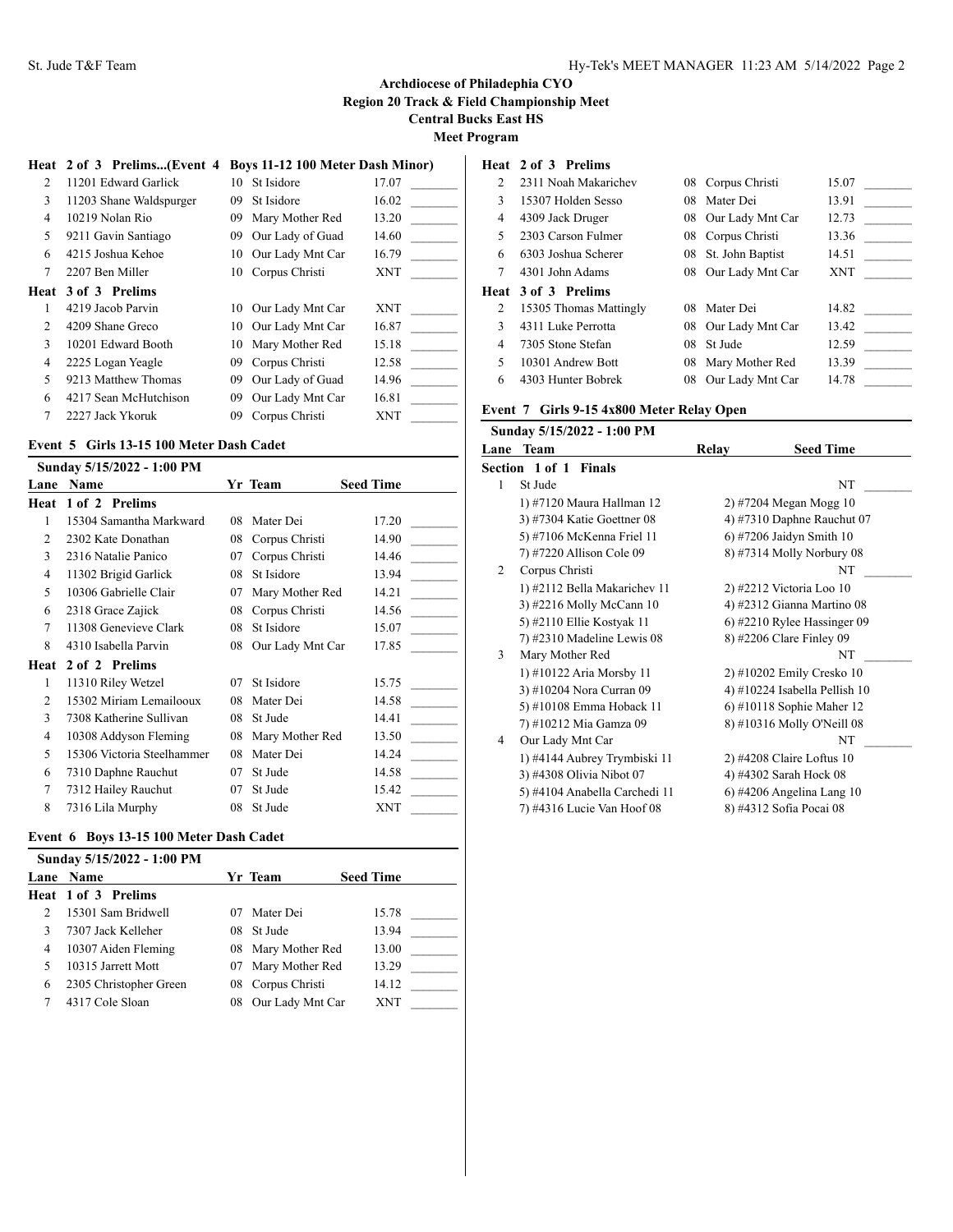|                          | Heat 2 of 3 Prelims(Event 4 |     | <b>Boys 11-12 100 Meter Dash Minor)</b> |            |
|--------------------------|-----------------------------|-----|-----------------------------------------|------------|
| $\mathfrak{D}$           | 11201 Edward Garlick        | 10. | St Isidore                              | 17.07      |
| 3                        | 11203 Shane Waldspurger     | 09  | St Isidore                              | 16.02      |
| 4                        | 10219 Nolan Rio             | 09  | Mary Mother Red                         | 13.20      |
| 5                        | 9211 Gavin Santiago         | 09  | Our Lady of Guad                        | 14.60      |
| 6                        | 4215 Joshua Kehoe           |     | 10 Our Lady Mnt Car                     | 16.79      |
| 7                        | 2207 Ben Miller             | 10  | Corpus Christi                          | <b>XNT</b> |
| Heat                     | 3 of 3 Prelims              |     |                                         |            |
| 1                        | 4219 Jacob Parvin           |     | 10 Our Lady Mnt Car                     | <b>XNT</b> |
| $\mathfrak{D}$           | 4209 Shane Greco            |     | 10 Our Lady Mnt Car                     | 16.87      |
| 3                        | 10201 Edward Booth          | 10  | Mary Mother Red                         | 15.18      |
| 4                        | 2225 Logan Yeagle           | 09  | Corpus Christi                          | 12.58      |
| $\overline{\phantom{0}}$ | 9213 Matthew Thomas         | 09  | Our Lady of Guad                        | 14.96      |
| 6                        | 4217 Sean McHutchison       | 09  | Our Lady Mnt Car                        | 16.81      |
| 7                        | 2227 Jack Ykoruk            | 09  | Corpus Christi                          | <b>XNT</b> |
|                          |                             |     |                                         |            |

# **Event 5 Girls 13-15 100 Meter Dash Cadet**

|      | Sunday 5/15/2022 - 1:00 PM |    |                  |                  |
|------|----------------------------|----|------------------|------------------|
| Lane | Name                       |    | Yr Team          | <b>Seed Time</b> |
| Heat | 1 of 2 Prelims             |    |                  |                  |
| 1    | 15304 Samantha Markward    | 08 | Mater Dei        | 17.20            |
| 2    | 2302 Kate Donathan         | 08 | Corpus Christi   | 14.90            |
| 3    | 2316 Natalie Panico        | 07 | Corpus Christi   | 14.46            |
| 4    | 11302 Brigid Garlick       | 08 | St Isidore       | 13.94            |
| 5    | 10306 Gabrielle Clair      | 07 | Mary Mother Red  | 14.21            |
| 6    | 2318 Grace Zajick          | 08 | Corpus Christi   | 14.56            |
| 7    | 11308 Genevieve Clark      | 08 | St Isidore       | 15.07            |
| 8    | 4310 Isabella Parvin       | 08 | Our Lady Mnt Car | 17.85            |
| Heat | 2 of 2 Prelims             |    |                  |                  |
| 1    | 11310 Riley Wetzel         | 07 | St Isidore       | 15.75            |
| 2    | 15302 Miriam Lemailooux    | 08 | Mater Dei        | 14.58            |
| 3    | 7308 Katherine Sullivan    | 08 | St Jude          | 14.41            |
| 4    | 10308 Addyson Fleming      | 08 | Mary Mother Red  | 13.50            |
| 5    | 15306 Victoria Steelhammer | 08 | Mater Dei        | 14.24            |
| 6    | 7310 Daphne Rauchut        | 07 | St Jude          | 14.58            |
| 7    | 7312 Hailey Rauchut        | 07 | St Jude          | 15.42            |
| 8    | 7316 Lila Murphy           | 08 | St Jude          | XNT              |
|      |                            |    |                  |                  |

# **Event 6 Boys 13-15 100 Meter Dash Cadet**

|   | Sunday 5/15/2022 - 1:00 PM |    |                     |                  |  |
|---|----------------------------|----|---------------------|------------------|--|
|   | <b>Lane Name</b>           |    | Yr Team             | <b>Seed Time</b> |  |
|   | <b>Heat 1 of 3 Prelims</b> |    |                     |                  |  |
|   | 15301 Sam Bridwell         |    | Mater Dei           | 15.78            |  |
|   | 7307 Jack Kelleher         | 08 | St Jude             | 13.94            |  |
| 4 | 10307 Aiden Fleming        |    | 08 Mary Mother Red  | 13.00            |  |
|   | 10315 Jarrett Mott         | 07 | Mary Mother Red     | 13.29            |  |
| 6 | 2305 Christopher Green     |    | 08 Corpus Christi   | 14.12            |  |
|   | 4317 Cole Sloan            |    | 08 Our Lady Mnt Car | <b>XNT</b>       |  |
|   |                            |    |                     |                  |  |

# **Heat 2 of 3 Prelims**

| $\mathfrak{D}$ | 2311 Noah Makarichev   |    | 08 Corpus Christi   | 15.07      |
|----------------|------------------------|----|---------------------|------------|
| 3              | 15307 Holden Sesso     | 08 | Mater Dei           | 13.91      |
| 4              | 4309 Jack Druger       |    | 08 Our Lady Mnt Car | 12.73      |
| 5              | 2303 Carson Fulmer     | 08 | Corpus Christi      | 13.36      |
| 6              | 6303 Joshua Scherer    |    | 08 St. John Baptist | 14.51      |
|                | 4301 John Adams        |    | 08 Our Lady Mnt Car | <b>XNT</b> |
|                |                        |    |                     |            |
| Heat           | 3 of 3 Prelims         |    |                     |            |
| 2              | 15305 Thomas Mattingly | 08 | Mater Dei           | 14.82      |
| 3              | 4311 Luke Perrotta     |    | 08 Our Lady Mnt Car | 13.42      |
| 4              | 7305 Stone Stefan      | 08 | St Jude             | 12.59      |
| 5              | 10301 Andrew Bott      | 08 | Mary Mother Red     | 13.39      |

# **Event 7 Girls 9-15 4x800 Meter Relay Open**

|   | Sunday 5/15/2022 - 1:00 PM      |       |                                 |
|---|---------------------------------|-------|---------------------------------|
|   | Lane Team                       | Relay | <b>Seed Time</b>                |
|   | Section 1 of 1<br><b>Finals</b> |       |                                 |
| 1 | St Jude                         |       | NT                              |
|   | 1) #7120 Maura Hallman 12       |       | 2) #7204 Megan Mogg $10$        |
|   | 3) #7304 Katie Goettner 08      |       | 4) #7310 Daphne Rauchut 07      |
|   | 5) #7106 McKenna Friel 11       |       | 6) #7206 Jaidyn Smith 10        |
|   | 7) #7220 Allison Cole 09        |       | 8) #7314 Molly Norbury 08       |
| 2 | Corpus Christi                  |       | NT                              |
|   | 1) #2112 Bella Makarichev 11    |       | $2)$ #2212 Victoria Loo 10      |
|   | 3) #2216 Molly McCann 10        |       | 4) #2312 Gianna Martino 08      |
|   | 5) #2110 Ellie Kostyak 11       |       | $(6)$ #2210 Rylee Hassinger 09  |
|   | 7) #2310 Madeline Lewis 08      |       | 8) #2206 Clare Finley 09        |
| 3 | Mary Mother Red                 |       | NT                              |
|   | 1) #10122 Aria Morsby 11        |       | 2) #10202 Emily Cresko 10       |
|   | 3) #10204 Nora Curran 09        |       | 4) #10224 Isabella Pellish $10$ |
|   | 5) #10108 Emma Hoback 11        |       | 6) #10118 Sophie Maher 12       |
|   | 7) #10212 Mia Gamza 09          |       | 8) #10316 Molly O'Neill 08      |
| 4 | Our Lady Mnt Car                |       | NT                              |
|   | 1) #4144 Aubrey Trymbiski 11    |       | $2)$ #4208 Claire Loftus 10     |
|   | 3) #4308 Olivia Nibot 07        |       | 4) #4302 Sarah Hock 08          |
|   | 5) #4104 Anabella Carchedi 11   |       | $(6)$ #4206 Angelina Lang 10    |
|   | 7) #4316 Lucie Van Hoof 08      |       | 8) #4312 Sofia Pocai 08         |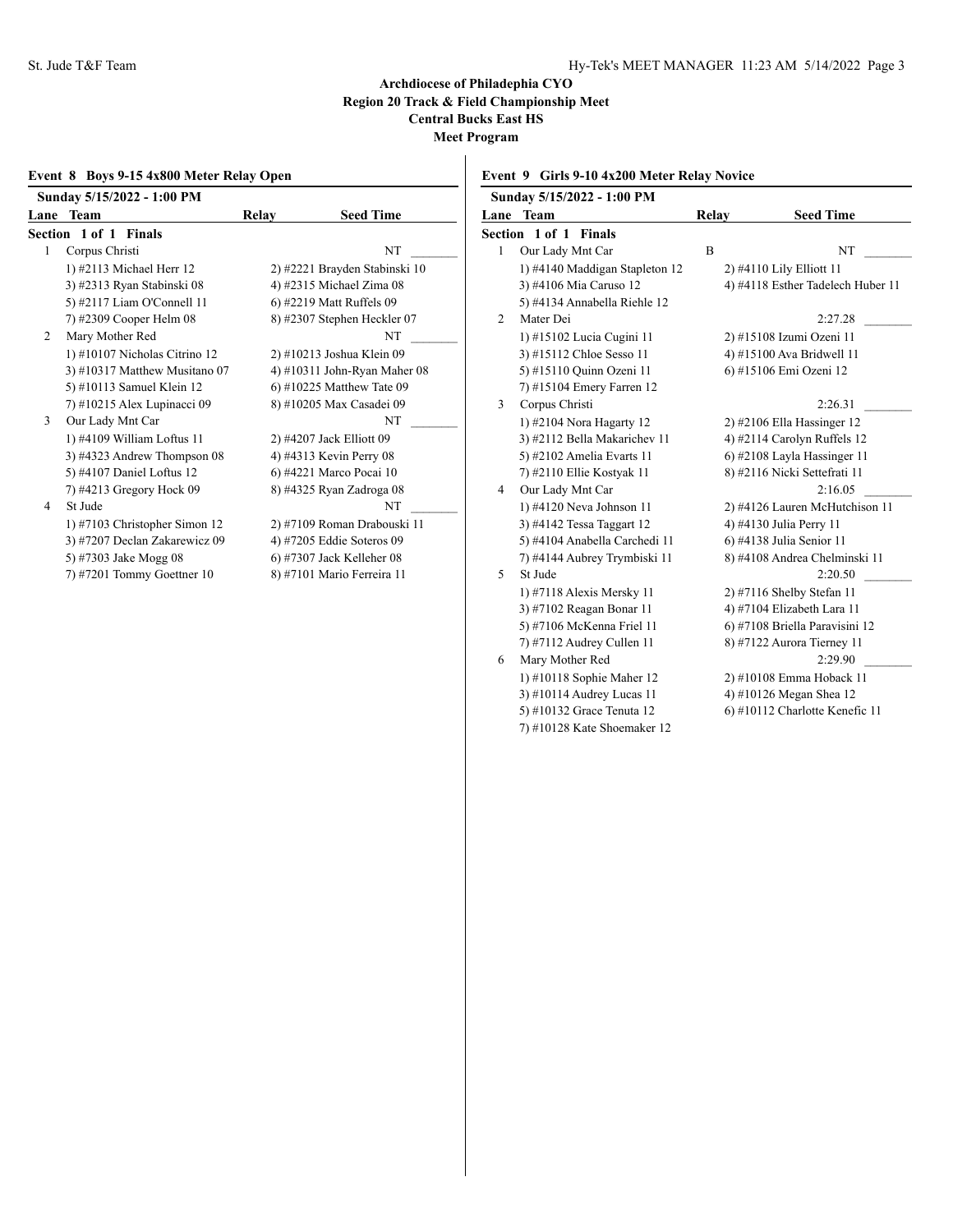# **Event 8 Boys 9-15 4x800 Meter Relay Open Sunday 5/15/2022 - 1:00 PM Lane Team Relay Seed Time Section 1 of 1 Finals** 1 Corpus Christi 1) #2113 Michael Herr 12 2) #2221 Brayden Stabinski 10 3) #2313 Ryan Stabinski 08 4) #2315 Michael Zima 08 5) #2117 Liam O'Connell 11 6) #2219 Matt Ruffels 09 7) #2309 Cooper Helm 08 8) #2307 Stephen Heckler 07 2 Mary Mother Red NT 1) #10107 Nicholas Citrino 12 2) #10213 Joshua Klein 09 3) #10317 Matthew Musitano 07 4) #10311 John-Ryan Maher 08 5) #10113 Samuel Klein 12 6) #10225 Matthew Tate 09 7) #10215 Alex Lupinacci 09 8) #10205 Max Casadei 09 3 Our Lady Mnt Car NT 1) #4109 William Loftus 11 2) #4207 Jack Elliott 09 3) #4323 Andrew Thompson 08 4) #4313 Kevin Perry 08 5) #4107 Daniel Loftus 12 6) #4221 Marco Pocai 10 7) #4213 Gregory Hock 09 8) #4325 Ryan Zadroga 08 4 St Jude NT 1) #7103 Christopher Simon 12 2) #7109 Roman Drabouski 11 3) #7207 Declan Zakarewicz 09 4) #7205 Eddie Soteros 09 5) #7303 Jake Mogg 08 6) #7307 Jack Kelleher 08 7) #7201 Tommy Goettner 10 8) #7101 Mario Ferreira 11

### **Event 9 Girls 9-10 4x200 Meter Relay Novice**

|      | Sunday 5/15/2022 - 1:00 PM     |       |                                   |
|------|--------------------------------|-------|-----------------------------------|
| Lane | <b>Team</b>                    | Relay | <b>Seed Time</b>                  |
|      | <b>Section 1 of 1 Finals</b>   |       |                                   |
| 1    | Our Lady Mnt Car               | B     | NT                                |
|      | 1) #4140 Maddigan Stapleton 12 |       | 2) #4110 Lily Elliott 11          |
|      | 3) #4106 Mia Caruso 12         |       | 4) #4118 Esther Tadelech Huber 11 |
|      | 5) #4134 Annabella Riehle 12   |       |                                   |
| 2    | Mater Dei                      |       | 2:27.28                           |
|      | 1) #15102 Lucia Cugini 11      |       | 2) #15108 Izumi Ozeni 11          |
|      | 3) #15112 Chloe Sesso 11       |       | 4) #15100 Ava Bridwell 11         |
|      | 5) #15110 Quinn Ozeni 11       |       | 6) #15106 Emi Ozeni 12            |
|      | 7) #15104 Emery Farren 12      |       |                                   |
| 3    | Corpus Christi                 |       | 2:26.31                           |
|      | 1) #2104 Nora Hagarty 12       |       | $2)$ #2106 Ella Hassinger 12      |
|      | 3) #2112 Bella Makarichev 11   |       | 4) #2114 Carolyn Ruffels 12       |
|      | 5) #2102 Amelia Evarts 11      |       | 6) #2108 Layla Hassinger 11       |
|      | 7) #2110 Ellie Kostyak 11      |       | 8) #2116 Nicki Settefrati 11      |
| 4    | Our Lady Mnt Car               |       | 2:16.05                           |
|      | 1) #4120 Neva Johnson 11       |       | 2) #4126 Lauren McHutchison 11    |
|      | 3) #4142 Tessa Taggart 12      |       | 4) #4130 Julia Perry 11           |
|      | 5) #4104 Anabella Carchedi 11  |       | 6) #4138 Julia Senior 11          |
|      | 7) #4144 Aubrey Trymbiski 11   |       | 8) #4108 Andrea Chelminski 11     |
| 5    | St Jude                        |       | 2:20.50                           |
|      | 1) #7118 Alexis Mersky 11      |       | 2) #7116 Shelby Stefan 11         |
|      | 3) #7102 Reagan Bonar 11       |       | 4) #7104 Elizabeth Lara 11        |
|      | 5) #7106 McKenna Friel 11      |       | 6) #7108 Briella Paravisini 12    |
|      | 7) #7112 Audrey Cullen 11      |       | 8) #7122 Aurora Tierney 11        |
| 6    | Mary Mother Red                |       | 2:29.90                           |
|      | 1) #10118 Sophie Maher 12      |       | 2) #10108 Emma Hoback 11          |
|      | 3) #10114 Audrey Lucas 11      |       | 4) #10126 Megan Shea 12           |
|      | 5) #10132 Grace Tenuta 12      |       | 6) #10112 Charlotte Kenefic 11    |
|      | 7) #10128 Kate Shoemaker 12    |       |                                   |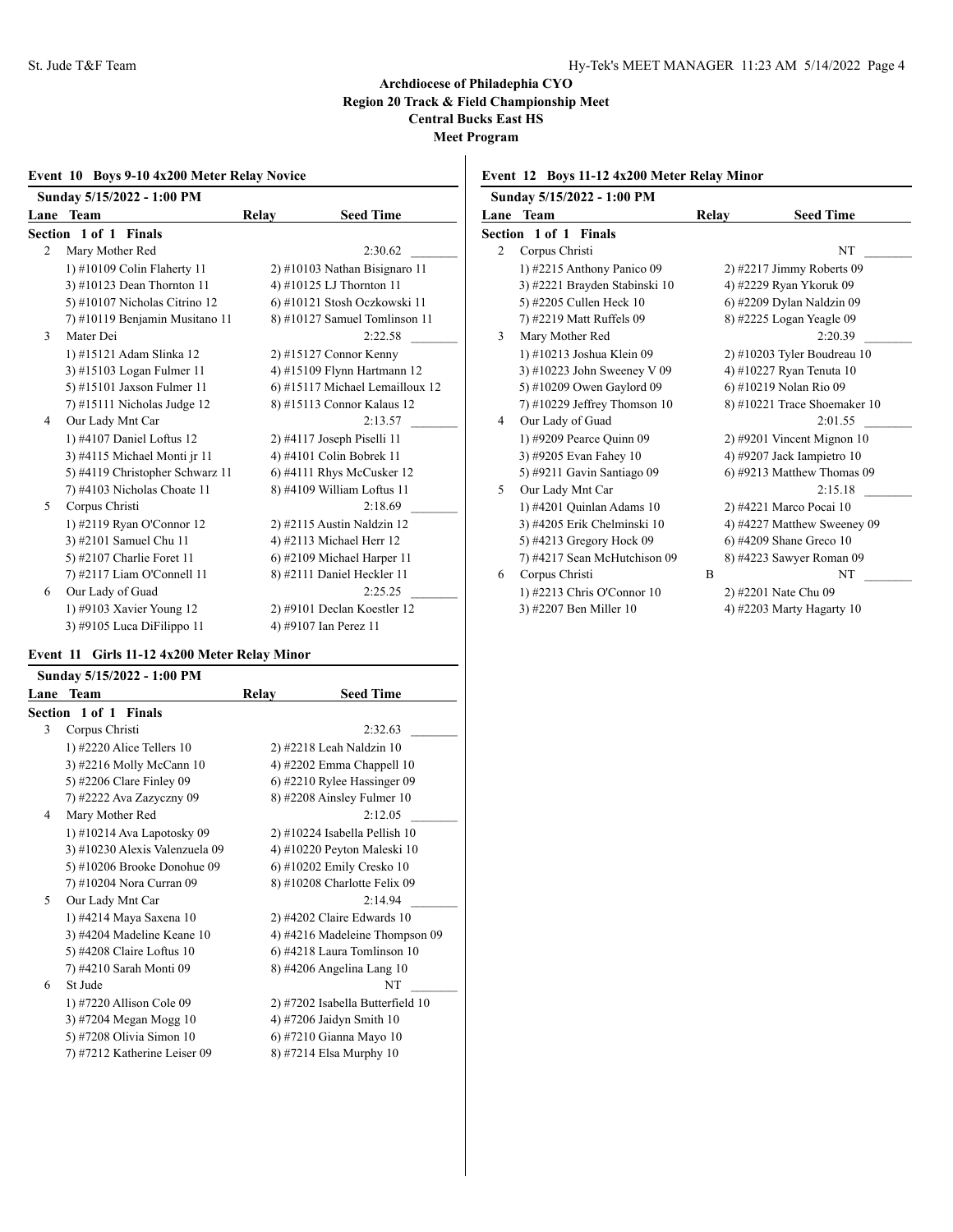# **Event 10 Boys 9-10 4x200 Meter Relay Novice**

|      | Sunday 5/15/2022 - 1:00 PM      |       |                                 |  |  |
|------|---------------------------------|-------|---------------------------------|--|--|
| Lane | <b>Team</b>                     | Relay | <b>Seed Time</b>                |  |  |
|      | <b>Section 1 of 1 Finals</b>    |       |                                 |  |  |
| 2    | Mary Mother Red                 |       | 2:30.62                         |  |  |
|      | 1) #10109 Colin Flaherty 11     |       | $2)$ #10103 Nathan Bisignaro 11 |  |  |
|      | 3) #10123 Dean Thornton 11      |       | 4) #10125 LJ Thornton 11        |  |  |
|      | 5) #10107 Nicholas Citrino 12   |       | 6) #10121 Stosh Oczkowski 11    |  |  |
|      | 7) #10119 Benjamin Musitano 11  |       | $8)$ #10127 Samuel Tomlinson 11 |  |  |
| 3    | Mater Dei                       |       | 2:22.58                         |  |  |
|      | 1) #15121 Adam Slinka 12        |       | $2)$ #15127 Connor Kenny        |  |  |
|      | 3) #15103 Logan Fulmer 11       |       | 4) #15109 Flynn Hartmann 12     |  |  |
|      | 5) #15101 Jaxson Fulmer 11      |       | 6) #15117 Michael Lemailloux 12 |  |  |
|      | 7) #15111 Nicholas Judge 12     |       | 8) #15113 Connor Kalaus 12      |  |  |
| 4    | Our Lady Mnt Car                |       | 2:13.57                         |  |  |
|      | 1) #4107 Daniel Loftus 12       |       | $2)$ #4117 Joseph Piselli 11    |  |  |
|      | 3) #4115 Michael Monti jr 11    |       | 4) #4101 Colin Bobrek 11        |  |  |
|      | 5) #4119 Christopher Schwarz 11 |       | 6) #4111 Rhys McCusker 12       |  |  |
|      | 7) #4103 Nicholas Choate 11     |       | 8) #4109 William Loftus 11      |  |  |
| 5    | Corpus Christi                  |       | 2:18.69                         |  |  |
|      | 1) #2119 Ryan O'Connor 12       |       | 2) #2115 Austin Naldzin 12      |  |  |
|      | 3) #2101 Samuel Chu 11          |       | 4) #2113 Michael Herr 12        |  |  |
|      | 5) #2107 Charlie Foret 11       |       | 6) #2109 Michael Harper 11      |  |  |
|      | 7) #2117 Liam O'Connell 11      |       | 8) #2111 Daniel Heckler 11      |  |  |
| 6    | Our Lady of Guad                |       | 2:25.25                         |  |  |
|      | 1) #9103 Xavier Young 12        |       | 2) #9101 Declan Koestler 12     |  |  |
|      | 3) #9105 Luca DiFilippo 11      |       | 4) #9107 Ian Perez 11           |  |  |

# **Event 11 Girls 11-12 4x200 Meter Relay Minor**

|      | Sunday 5/15/2022 - 1:00 PM     |       |                                  |
|------|--------------------------------|-------|----------------------------------|
| Lane | <b>Team</b>                    | Relay | <b>Seed Time</b>                 |
|      | Section 1 of 1 Finals          |       |                                  |
| 3    | Corpus Christi                 |       | 2:32.63                          |
|      | 1) #2220 Alice Tellers $10$    |       | 2) #2218 Leah Naldzin 10         |
|      | 3) #2216 Molly McCann 10       |       | 4) #2202 Emma Chappell $10$      |
|      | 5) #2206 Clare Finley 09       |       | $(6)$ #2210 Rylee Hassinger 09   |
|      | 7) #2222 Ava Zazyczny 09       |       | $8)$ #2208 Ainsley Fulmer 10     |
| 4    | Mary Mother Red                |       | 2:12.05                          |
|      | 1) #10214 Ava Lapotosky 09     |       | $2)$ #10224 Isabella Pellish 10  |
|      | 3) #10230 Alexis Valenzuela 09 |       | 4) #10220 Peyton Maleski 10      |
|      | 5) #10206 Brooke Donohue 09    |       | 6) #10202 Emily Cresko 10        |
|      | 7) #10204 Nora Curran 09       |       | 8) #10208 Charlotte Felix 09     |
| 5.   | Our Lady Mnt Car               |       | 2:14.94                          |
|      | 1) #4214 Maya Saxena 10        |       | $2)$ #4202 Claire Edwards 10     |
|      | 3) #4204 Madeline Keane $10$   |       | 4) #4216 Madeleine Thompson 09   |
|      | 5) #4208 Claire Loftus 10      |       | 6) #4218 Laura Tomlinson 10      |
|      | 7) #4210 Sarah Monti 09        |       | $(8)$ #4206 Angelina Lang 10     |
| 6    | St Jude                        |       | NT                               |
|      | 1) #7220 Allison Cole 09       |       | 2) #7202 Isabella Butterfield 10 |
|      | 3) #7204 Megan Mogg 10         |       | 4) #7206 Jaidyn Smith 10         |
|      | 5) #7208 Olivia Simon 10       |       | 6) #7210 Gianna Mayo 10          |
|      | 7) #7212 Katherine Leiser 09   |       | 8) #7214 Elsa Murphy 10          |
|      |                                |       |                                  |

# **Event 12 Boys 11-12 4x200 Meter Relay Minor**

|      | Sunday 5/15/2022 - 1:00 PM     |       |                                |
|------|--------------------------------|-------|--------------------------------|
| Lane | <b>Team</b>                    | Relay | <b>Seed Time</b>               |
|      | <b>Section 1 of 1 Finals</b>   |       |                                |
| 2    | Corpus Christi                 |       | <b>NT</b>                      |
|      | 1) #2215 Anthony Panico 09     |       | $2)$ #2217 Jimmy Roberts 09    |
|      | 3) #2221 Brayden Stabinski 10  |       | 4) #2229 Ryan Ykoruk 09        |
|      | 5) #2205 Cullen Heck 10        |       | 6) #2209 Dylan Naldzin 09      |
|      | 7) #2219 Matt Ruffels 09       |       | 8) #2225 Logan Yeagle 09       |
| 3    | Mary Mother Red                |       | 2:20.39                        |
|      | 1) #10213 Joshua Klein 09      |       | $2)$ #10203 Tyler Boudreau 10  |
|      | 3) #10223 John Sweeney V 09    |       | 4) #10227 Ryan Tenuta 10       |
|      | 5) #10209 Owen Gaylord 09      |       | 6) #10219 Nolan Rio 09         |
|      | $7)$ #10229 Jeffrey Thomson 10 |       | $8)$ #10221 Trace Shoemaker 10 |
| 4    | Our Lady of Guad               |       | 2:01.55                        |
|      | 1) #9209 Pearce Quinn 09       |       | $2)$ #9201 Vincent Mignon 10   |
|      | 3) #9205 Evan Fahey 10         |       | 4) #9207 Jack Iampietro $10$   |
|      | 5) #9211 Gavin Santiago 09     |       | 6) #9213 Matthew Thomas 09     |
| 5    | Our Lady Mnt Car               |       | 2:15.18                        |
|      | 1) #4201 Quinlan Adams 10      |       | 2) #4221 Marco Pocai 10        |
|      | 3) #4205 Erik Chelminski 10    |       | 4) #4227 Matthew Sweeney 09    |
|      | 5) #4213 Gregory Hock 09       |       | 6) #4209 Shane Greco 10        |
|      | 7) #4217 Sean McHutchison 09   |       | 8) #4223 Sawyer Roman 09       |
| 6    | Corpus Christi                 | B     | NT                             |
|      | 1) #2213 Chris O'Connor 10     |       | 2) #2201 Nate Chu 09           |
|      | 3) #2207 Ben Miller 10         |       | 4) #2203 Marty Hagarty $10$    |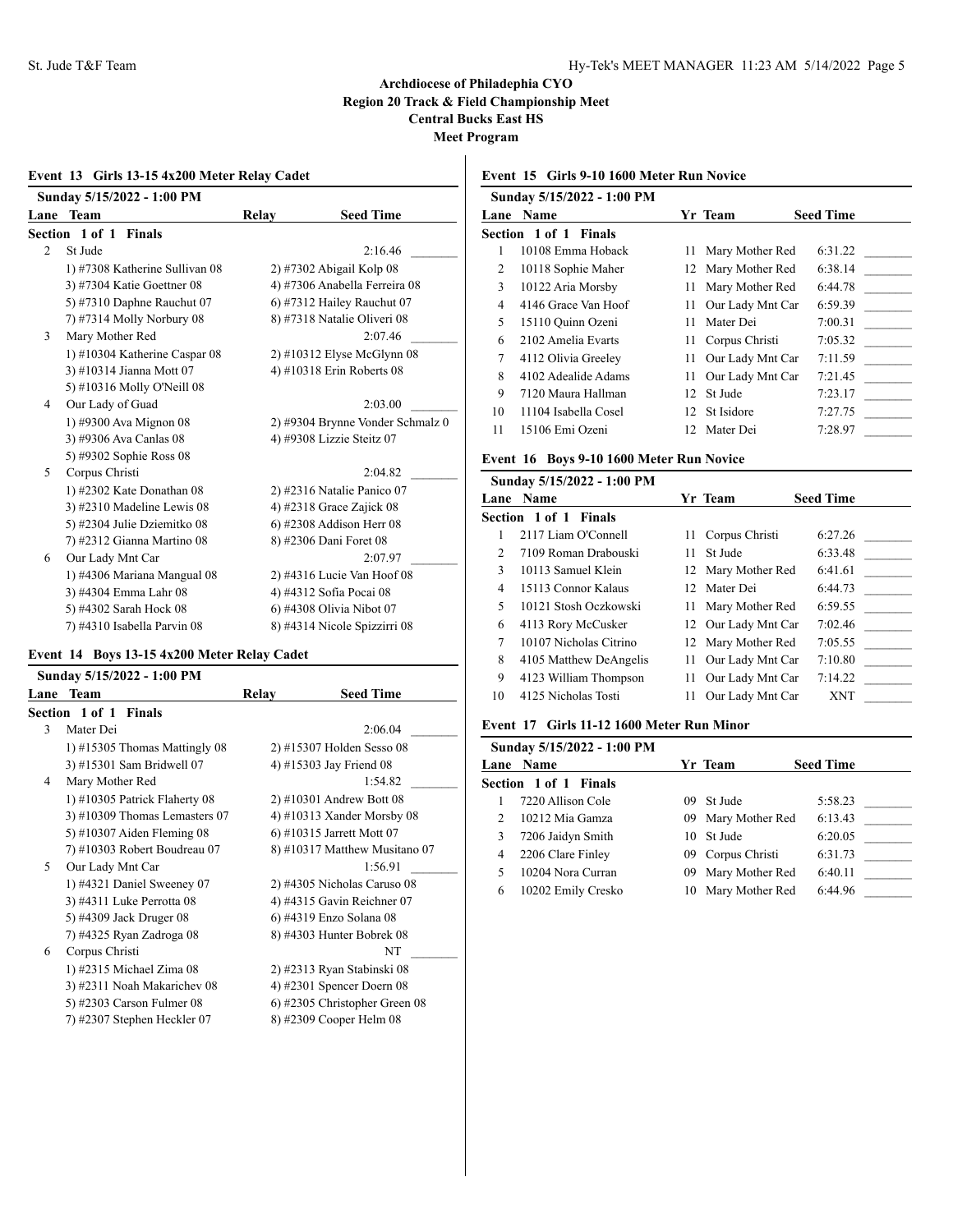|                | Sunday 5/15/2022 - 1:00 PM     |       |                                  |  |  |  |  |
|----------------|--------------------------------|-------|----------------------------------|--|--|--|--|
| Lane           | <b>Team</b>                    | Relay | <b>Seed Time</b>                 |  |  |  |  |
|                | Section 1 of 1 Finals          |       |                                  |  |  |  |  |
| $\overline{c}$ | St Jude                        |       | 2:16.46                          |  |  |  |  |
|                | 1) #7308 Katherine Sullivan 08 |       | 2) #7302 Abigail Kolp 08         |  |  |  |  |
|                | 3) #7304 Katie Goettner 08     |       | 4) #7306 Anabella Ferreira 08    |  |  |  |  |
|                | 5) #7310 Daphne Rauchut 07     |       | 6) #7312 Hailey Rauchut 07       |  |  |  |  |
|                | 7) #7314 Molly Norbury 08      |       | 8) #7318 Natalie Oliveri 08      |  |  |  |  |
| 3              | Mary Mother Red                |       | 2:07.46                          |  |  |  |  |
|                | 1) #10304 Katherine Caspar 08  |       | 2) #10312 Elyse McGlynn 08       |  |  |  |  |
|                | 3) #10314 Jianna Mott 07       |       | 4) #10318 Erin Roberts 08        |  |  |  |  |
|                | 5) #10316 Molly O'Neill 08     |       |                                  |  |  |  |  |
| 4              | Our Lady of Guad               |       | 2:03.00                          |  |  |  |  |
|                | 1) #9300 Ava Mignon 08         |       | 2) #9304 Brynne Vonder Schmalz 0 |  |  |  |  |
|                | 3) #9306 Ava Canlas 08         |       | 4) #9308 Lizzie Steitz 07        |  |  |  |  |
|                | 5) #9302 Sophie Ross 08        |       |                                  |  |  |  |  |
| 5              | Corpus Christi                 |       | 2:04.82                          |  |  |  |  |
|                | 1) #2302 Kate Donathan 08      |       | 2) #2316 Natalie Panico 07       |  |  |  |  |
|                | $3)$ #2310 Madeline Lewis 08   |       | 4) #2318 Grace Zajick $08$       |  |  |  |  |
|                | 5) #2304 Julie Dziemitko 08    |       | 6) #2308 Addison Herr 08         |  |  |  |  |
|                | 7) #2312 Gianna Martino 08     |       | 8) #2306 Dani Foret 08           |  |  |  |  |
| 6              | Our Lady Mnt Car               |       | 2:07.97                          |  |  |  |  |
|                | 1) #4306 Mariana Mangual 08    |       | 2) #4316 Lucie Van Hoof 08       |  |  |  |  |
|                | 3) #4304 Emma Lahr 08          |       | 4) #4312 Sofia Pocai 08          |  |  |  |  |
|                | 5) #4302 Sarah Hock 08         |       | 6) #4308 Olivia Nibot 07         |  |  |  |  |
|                | 7) #4310 Isabella Parvin 08    |       | 8) #4314 Nicole Spizzirri 08     |  |  |  |  |

#### **Event 13 Girls 13-15 4x200 Meter Relay Cadet**

# **Event 14 Boys 13-15 4x200 Meter Relay Cadet**

|      | Sunday 5/15/2022 - 1:00 PM       |       |                               |
|------|----------------------------------|-------|-------------------------------|
| Lane | Team                             | Relay | <b>Seed Time</b>              |
|      | <b>Section 1 of 1 Finals</b>     |       |                               |
| 3    | Mater Dei                        |       | 2:06.04                       |
|      | 1) $\#15305$ Thomas Mattingly 08 |       | 2) #15307 Holden Sesso 08     |
|      | 3) #15301 Sam Bridwell 07        |       | 4) #15303 Jay Friend 08       |
| 4    | Mary Mother Red                  |       | 1:54.82                       |
|      | 1) #10305 Patrick Flaherty 08    |       | $2)$ #10301 Andrew Bott 08    |
|      | 3) #10309 Thomas Lemasters $07$  |       | 4) #10313 Xander Morsby 08    |
|      | 5) #10307 Aiden Fleming 08       |       | 6) #10315 Jarrett Mott 07     |
|      | 7) #10303 Robert Boudreau 07     |       | 8) #10317 Matthew Musitano 07 |
| 5.   | Our Lady Mnt Car                 |       | 1:56.91                       |
|      | 1) #4321 Daniel Sweeney 07       |       | 2) #4305 Nicholas Caruso 08   |
|      | 3) #4311 Luke Perrotta 08        |       | 4) #4315 Gavin Reichner 07    |
|      | 5) #4309 Jack Druger 08          |       | 6) #4319 Enzo Solana 08       |
|      | 7) #4325 Ryan Zadroga 08         |       | 8) #4303 Hunter Bobrek 08     |
| 6    | Corpus Christi                   |       | NT                            |
|      | 1) #2315 Michael Zima 08         |       | 2) #2313 Ryan Stabinski 08    |
|      | 3) #2311 Noah Makarichev 08      |       | 4) #2301 Spencer Doern $08$   |
|      | 5) #2303 Carson Fulmer 08        |       | 6) #2305 Christopher Green 08 |
|      | 7) #2307 Stephen Heckler 07      |       | 8) #2309 Cooper Helm 08       |
|      |                                  |       |                               |

# **Event 15 Girls 9-10 1600 Meter Run Novice**

|    | Sunday 5/15/2022 - 1:00 PM |    |                     |                  |
|----|----------------------------|----|---------------------|------------------|
|    | <b>Lane Name</b>           |    | Yr Team             | <b>Seed Time</b> |
|    | Section 1 of 1 Finals      |    |                     |                  |
| 1  | 10108 Emma Hoback          | 11 | Mary Mother Red     | 6:31.22          |
| 2  | 10118 Sophie Maher         |    | 12 Mary Mother Red  | 6:38.14          |
| 3  | 10122 Aria Morsby          |    | 11 Mary Mother Red  | 6:44.78          |
| 4  | 4146 Grace Van Hoof        |    | 11 Our Lady Mnt Car | 6:59.39          |
| 5  | 15110 Ouinn Ozeni          | 11 | Mater Dei           | 7:00.31          |
| 6  | 2102 Amelia Evarts         |    | 11 Corpus Christi   | 7:05.32          |
| 7  | 4112 Olivia Greeley        | 11 | Our Lady Mnt Car    | 7:11.59          |
| 8  | 4102 Adealide Adams        |    | 11 Our Lady Mnt Car | 7:21.45          |
| 9  | 7120 Maura Hallman         |    | 12 St Jude          | 7:23.17          |
| 10 | 11104 Isabella Cosel       | 12 | St Isidore          | 7:27.75          |
| 11 | 15106 Emi Ozeni            |    | 12 Mater Dei        | 7:28.97          |
|    |                            |    |                     |                  |

#### **Event 16 Boys 9-10 1600 Meter Run Novice**

# **Sunday 5/15/2022 - 1:00 PM**

|               | <b>Lane Name</b>       |    | Yr Team             | <b>Seed Time</b> |
|---------------|------------------------|----|---------------------|------------------|
|               | Section 1 of 1 Finals  |    |                     |                  |
|               | 2117 Liam O'Connell    |    | 11 Corpus Christi   | 6:27.26          |
| $\mathcal{D}$ | 7109 Roman Drabouski   |    | 11 St Jude          | 6:33.48          |
| 3             | 10113 Samuel Klein     |    | 12 Mary Mother Red  | 6:41.61          |
| 4             | 15113 Connor Kalaus    |    | 12. Mater Dei       | 6:44.73          |
| 5             | 10121 Stosh Oczkowski  |    | 11 Mary Mother Red  | 6:59.55          |
| 6             | 4113 Rory McCusker     |    | 12 Our Lady Mnt Car | 7:02.46          |
| 7             | 10107 Nicholas Citrino |    | 12 Mary Mother Red  | 7:05.55          |
| 8             | 4105 Matthew DeAngelis |    | 11 Our Lady Mnt Car | 7:10.80          |
| 9             | 4123 William Thompson  |    | 11 Our Lady Mnt Car | 7:14.22          |
| 10            | 4125 Nicholas Tosti    | 11 | Our Lady Mnt Car    | <b>XNT</b>       |
|               |                        |    |                     |                  |

### **Event 17 Girls 11-12 1600 Meter Run Minor**

| Sunday 5/15/2022 - 1:00 PM |                       |    |                    |                  |  |
|----------------------------|-----------------------|----|--------------------|------------------|--|
|                            | Lane Name             |    | Yr Team            | <b>Seed Time</b> |  |
|                            | Section 1 of 1 Finals |    |                    |                  |  |
|                            | 7220 Allison Cole     | 09 | St Jude            | 5:58.23          |  |
| 2                          | 10212 Mia Gamza       |    | 09 Mary Mother Red | 6:13.43          |  |
| 3                          | 7206 Jaidyn Smith     | 10 | - St Jude          | 6:20.05          |  |
| 4                          | 2206 Clare Finley     | 09 | Corpus Christi     | 6:31.73          |  |
| 5                          | 10204 Nora Curran     | 09 | Mary Mother Red    | 6:40.11          |  |
| 6                          | 10202 Emily Cresko    |    | 10 Mary Mother Red | 6:44.96          |  |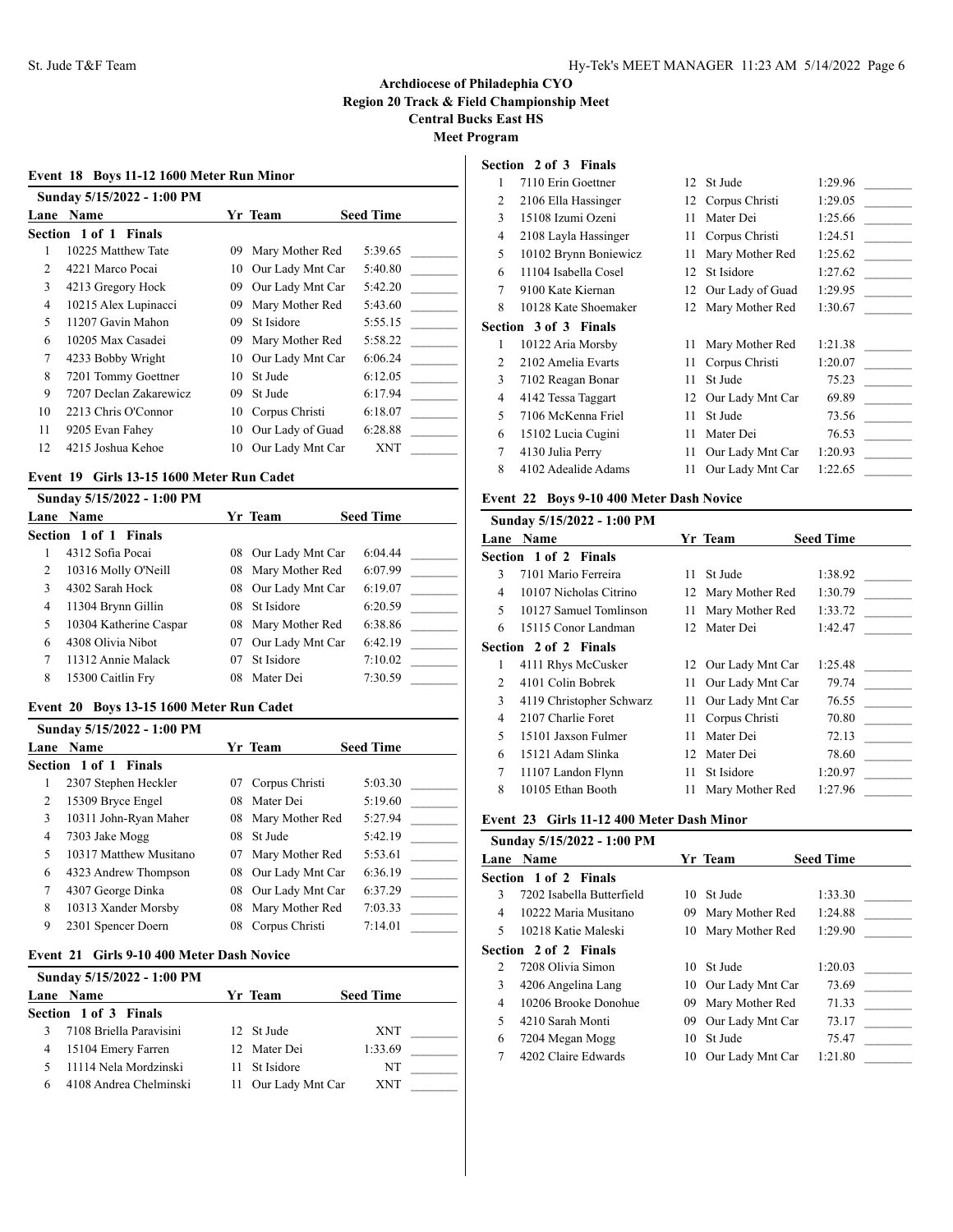| Event 18 Boys 11-12 1600 Meter Run Minor |                            |    |                  |                  |  |  |  |
|------------------------------------------|----------------------------|----|------------------|------------------|--|--|--|
|                                          | Sunday 5/15/2022 - 1:00 PM |    |                  |                  |  |  |  |
| Lane                                     | <b>Name</b>                |    | Yr Team          | <b>Seed Time</b> |  |  |  |
|                                          | Section 1 of 1 Finals      |    |                  |                  |  |  |  |
|                                          | 10225 Matthew Tate         | 09 | Mary Mother Red  | 5:39.65          |  |  |  |
| 2                                        | 4221 Marco Pocai           | 10 | Our Lady Mnt Car | 5:40.80          |  |  |  |
| 3                                        | 4213 Gregory Hock          | 09 | Our Lady Mnt Car | 5:42.20          |  |  |  |
| 4                                        | 10215 Alex Lupinacci       | 09 | Mary Mother Red  | 5:43.60          |  |  |  |
| 5                                        | 11207 Gavin Mahon          | 09 | St Isidore       | 5:55.15          |  |  |  |
| 6                                        | 10205 Max Casadei          | 09 | Mary Mother Red  | 5:58.22          |  |  |  |
| 7                                        | 4233 Bobby Wright          | 10 | Our Lady Mnt Car | 6:06.24          |  |  |  |
| 8                                        | 7201 Tommy Goettner        | 10 | St Jude          | 6:12.05          |  |  |  |
| 9                                        | 7207 Declan Zakarewicz     | 09 | St Jude          | 6:17.94          |  |  |  |
| 10                                       | 2213 Chris O'Connor        | 10 | Corpus Christi   | 6:18.07          |  |  |  |
| 11                                       | 9205 Evan Fahey            | 10 | Our Lady of Guad | 6:28.88          |  |  |  |
| 12                                       | 4215 Joshua Kehoe          | 10 | Our Lady Mnt Car | <b>XNT</b>       |  |  |  |

#### **Event 19 Girls 13-15 1600 Meter Run Cadet**

|   | Sunday 5/15/2022 - 1:00 PM |     |                     |                  |  |  |
|---|----------------------------|-----|---------------------|------------------|--|--|
|   | Lane Name                  |     | Yr Team             | <b>Seed Time</b> |  |  |
|   | Section 1 of 1 Finals      |     |                     |                  |  |  |
|   | 4312 Sofia Pocai           | 08. | Our Lady Mnt Car    | 6:04.44          |  |  |
| 2 | 10316 Molly O'Neill        |     | 08 Mary Mother Red  | 6:07.99          |  |  |
| 3 | 4302 Sarah Hock            |     | 08 Our Lady Mnt Car | 6:19.07          |  |  |
| 4 | 11304 Brynn Gillin         |     | 08 St Isidore       | 6:20.59          |  |  |
| 5 | 10304 Katherine Caspar     |     | 08 Mary Mother Red  | 6:38.86          |  |  |
| 6 | 4308 Olivia Nibot          | 07  | Our Lady Mnt Car    | 6:42.19          |  |  |
| 7 | 11312 Annie Malack         | 07  | St Isidore          | 7:10.02          |  |  |
| 8 | 15300 Caitlin Fry          | 08  | Mater Dei           | 7:30.59          |  |  |

#### **Event 20 Boys 13-15 1600 Meter Run Cadet**

|   | Sunday 5/15/2022 - 1:00 PM      |    |                     |                  |
|---|---------------------------------|----|---------------------|------------------|
|   | <b>Lane Name</b>                |    | Yr Team             | <b>Seed Time</b> |
|   | Section 1 of 1<br><b>Finals</b> |    |                     |                  |
|   | 2307 Stephen Heckler            | 07 | Corpus Christi      | 5:03.30          |
| 2 | 15309 Bryce Engel               | 08 | Mater Dei           | 5:19.60          |
| 3 | 10311 John-Ryan Maher           | 08 | Mary Mother Red     | 5:27.94          |
| 4 | 7303 Jake Mogg                  | 08 | St Jude             | 5:42.19          |
| 5 | 10317 Matthew Musitano          |    | 07 Mary Mother Red  | 5:53.61          |
| 6 | 4323 Andrew Thompson            |    | 08 Our Lady Mnt Car | 6:36.19          |
|   | 4307 George Dinka               |    | 08 Our Lady Mnt Car | 6:37.29          |
| 8 | 10313 Xander Morsby             | 08 | Mary Mother Red     | 7:03.33          |
| 9 | 2301 Spencer Doern              | 08 | Corpus Christi      | 7:14.01          |

#### **Event 21 Girls 9-10 400 Meter Dash Novice**

|   | Sunday 5/15/2022 - 1:00 PM |    |                  |                  |  |  |  |
|---|----------------------------|----|------------------|------------------|--|--|--|
|   | Lane Name                  |    | Yr Team          | <b>Seed Time</b> |  |  |  |
|   | Section 1 of 3 Finals      |    |                  |                  |  |  |  |
|   | 7108 Briella Paravisini    |    | 12 St Jude       | <b>XNT</b>       |  |  |  |
|   | 15104 Emery Farren         |    | 12 Mater Dei     | 1:33.69          |  |  |  |
|   | 11114 Nela Mordzinski      | 11 | St Isidore       | NT               |  |  |  |
| 6 | 4108 Andrea Chelminski     | П  | Our Lady Mnt Car | <b>XNT</b>       |  |  |  |

# **Section 2 of 3 Finals**

| 1 | 7110 Erin Goettner           |     | 12 St Jude          | 1:29.96 |  |
|---|------------------------------|-----|---------------------|---------|--|
| 2 | 2106 Ella Hassinger          | 12  | Corpus Christi      | 1:29.05 |  |
| 3 | 15108 Izumi Ozeni            | 11  | Mater Dei           | 1:25.66 |  |
| 4 | 2108 Layla Hassinger         | 11  | Corpus Christi      | 1:24.51 |  |
| 5 | 10102 Brynn Boniewicz        | 11  | Mary Mother Red     | 1:25.62 |  |
| 6 | 11104 Isabella Cosel         |     | 12 St Isidore       | 1:27.62 |  |
| 7 | 9100 Kate Kiernan            |     | 12 Our Lady of Guad | 1:29.95 |  |
| 8 | 10128 Kate Shoemaker         |     | 12 Mary Mother Red  | 1:30.67 |  |
|   | <b>Section 3 of 3 Finals</b> |     |                     |         |  |
| 1 | 10122 Aria Morsby            | 11- | Mary Mother Red     | 1:21.38 |  |
| 2 | 2102 Amelia Evarts           | 11  | Corpus Christi      | 1:20.07 |  |
| 3 | 7102 Reagan Bonar            | 11  | St Jude             | 75.23   |  |
| 4 | 4142 Tessa Taggart           |     | 12 Our Lady Mnt Car | 69.89   |  |
| 5 | 7106 McKenna Friel           | 11  | St Jude             | 73.56   |  |
| 6 | 15102 Lucia Cugini           | 11  | Mater Dei           | 76.53   |  |
| 7 | 4130 Julia Perry             |     | 11 Our Lady Mnt Car | 1:20.93 |  |
| 8 | 4102 Adealide Adams          | 11  | Our Lady Mnt Car    | 1:22.65 |  |
|   |                              |     |                     |         |  |

# **Event 22 Boys 9-10 400 Meter Dash Novice**

#### **Sunday 5/15/2022 - 1:00 PM**

|   | Lane Name                    |     | Yr Team             | <b>Seed Time</b> |
|---|------------------------------|-----|---------------------|------------------|
|   | <b>Section 1 of 2 Finals</b> |     |                     |                  |
| 3 | 7101 Mario Ferreira          |     | 11 St Jude          | 1:38.92          |
| 4 | 10107 Nicholas Citrino       |     | 12 Mary Mother Red  | 1:30.79          |
| 5 | 10127 Samuel Tomlinson       |     | 11 Mary Mother Red  | 1:33.72          |
| 6 | 15115 Conor Landman          |     | 12 Mater Dei        | 1:42.47          |
|   | <b>Section 2 of 2 Finals</b> |     |                     |                  |
| 1 | 4111 Rhys McCusker           |     | 12 Our Lady Mnt Car | 1:25.48          |
| 2 | 4101 Colin Bobrek            |     | 11 Our Lady Mnt Car | 79.74            |
| 3 | 4119 Christopher Schwarz     |     | 11 Our Lady Mnt Car | 76.55            |
| 4 | 2107 Charlie Foret           |     | 11 Corpus Christi   | 70.80            |
| 5 | 15101 Jaxson Fulmer          | 11. | Mater Dei           | 72.13            |
| 6 | 15121 Adam Slinka            |     | 12 Mater Dei        | 78.60            |
| 7 | 11107 Landon Flynn           |     | 11 St Isidore       | 1:20.97          |
| 8 | 10105 Ethan Booth            | 11  | Mary Mother Red     | 1:27.96          |
|   |                              |     |                     |                  |

#### **Event 23 Girls 11-12 400 Meter Dash Minor**

|                | Sunday 5/15/2022 - 1:00 PM |     |                     |                  |
|----------------|----------------------------|-----|---------------------|------------------|
|                | Lane Name                  |     | Yr Team             | <b>Seed Time</b> |
|                | Section 1 of 2 Finals      |     |                     |                  |
| 3              | 7202 Isabella Butterfield  | 10  | St Jude             | 1:33.30          |
| 4              | 10222 Maria Musitano       | 09. | Mary Mother Red     | 1:24.88          |
| 5.             | 10218 Katie Maleski        |     | 10 Mary Mother Red  | 1:29.90          |
|                | Section 2 of 2 Finals      |     |                     |                  |
| $\mathfrak{D}$ | 7208 Olivia Simon          | 10  | St Jude             | 1:20.03          |
| 3              | 4206 Angelina Lang         |     | 10 Our Lady Mnt Car | 73.69            |
| 4              | 10206 Brooke Donohue       | 09. | Marv Mother Red     | 71.33            |
| 5              | 4210 Sarah Monti           | 09. | Our Lady Mnt Car    | 73.17            |
| 6              | 7204 Megan Mogg            | 10  | St Jude             | 75.47            |
|                | 4202 Claire Edwards        | 10  | Our Lady Mnt Car    | 1:21.80          |
|                |                            |     |                     |                  |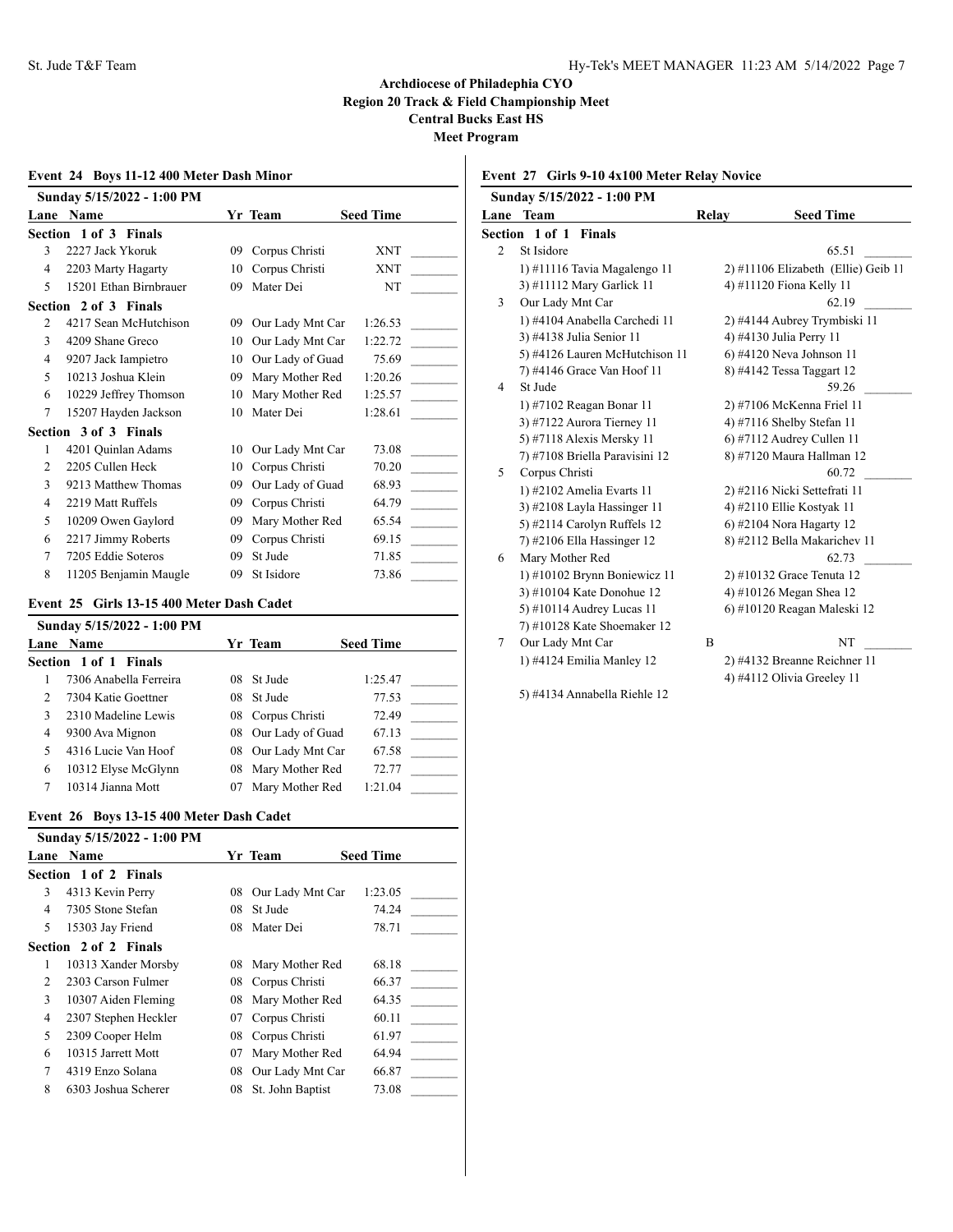| Event 24 Boys 11-12 400 Meter Dash Minor |                        |    |                  |                  |  |  |  |
|------------------------------------------|------------------------|----|------------------|------------------|--|--|--|
| Sunday 5/15/2022 - 1:00 PM               |                        |    |                  |                  |  |  |  |
| Lane                                     | Name                   |    | Yr Team          | <b>Seed Time</b> |  |  |  |
|                                          | Section 1 of 3 Finals  |    |                  |                  |  |  |  |
| $\mathcal{L}$                            | 2227 Jack Ykoruk       | 09 | Corpus Christi   | <b>XNT</b>       |  |  |  |
| 4                                        | 2203 Marty Hagarty     | 10 | Corpus Christi   | <b>XNT</b>       |  |  |  |
| 5                                        | 15201 Ethan Birnbrauer | 09 | Mater Dei        | NT               |  |  |  |
|                                          | Section 2 of 3 Finals  |    |                  |                  |  |  |  |
| 2                                        | 4217 Sean McHutchison  | 09 | Our Lady Mnt Car | 1:26.53          |  |  |  |
| 3                                        | 4209 Shane Greco       | 10 | Our Lady Mnt Car | 1:22.72          |  |  |  |
| 4                                        | 9207 Jack Iampietro    | 10 | Our Lady of Guad | 75.69            |  |  |  |
| 5                                        | 10213 Joshua Klein     | 09 | Mary Mother Red  | 1:20.26          |  |  |  |
| 6                                        | 10229 Jeffrey Thomson  | 10 | Mary Mother Red  | 1:25.57          |  |  |  |
| 7                                        | 15207 Hayden Jackson   | 10 | Mater Dei        | 1:28.61          |  |  |  |
|                                          | Section 3 of 3 Finals  |    |                  |                  |  |  |  |
| 1                                        | 4201 Quinlan Adams     | 10 | Our Lady Mnt Car | 73.08            |  |  |  |
| $\mathfrak{D}$                           | 2205 Cullen Heck       | 10 | Corpus Christi   | 70.20            |  |  |  |
| 3                                        | 9213 Matthew Thomas    | 09 | Our Lady of Guad | 68.93            |  |  |  |
| 4                                        | 2219 Matt Ruffels      | 09 | Corpus Christi   | 64.79            |  |  |  |
| 5                                        | 10209 Owen Gaylord     | 09 | Mary Mother Red  | 65.54            |  |  |  |
| 6                                        | 2217 Jimmy Roberts     | 09 | Corpus Christi   | 69.15            |  |  |  |
| 7                                        | 7205 Eddie Soteros     | 09 | St Jude          | 71.85            |  |  |  |
| 8                                        | 11205 Benjamin Maugle  | 09 | St Isidore       | 73.86            |  |  |  |

#### **Event 25 Girls 13-15 400 Meter Dash Cadet**

|                | Sunday 5/15/2022 - 1:00 PM |     |                     |                  |  |
|----------------|----------------------------|-----|---------------------|------------------|--|
|                | Lane Name                  |     | Yr Team             | <b>Seed Time</b> |  |
|                | Section 1 of 1 Finals      |     |                     |                  |  |
|                | 7306 Anabella Ferreira     | 08. | -St Jude            | 1:25.47          |  |
| $\mathfrak{D}$ | 7304 Katie Goettner        | 08. | St Jude             | 77.53            |  |
| 3              | 2310 Madeline Lewis        |     | 08 Corpus Christi   | 72.49            |  |
| 4              | 9300 Ava Mignon            |     | 08 Our Lady of Guad | 67.13            |  |
| 5              | 4316 Lucie Van Hoof        |     | 08 Our Lady Mnt Car | 67.58            |  |
| 6              | 10312 Elyse McGlynn        |     | 08 Mary Mother Red  | 72.77            |  |
|                | 10314 Jianna Mott          | 07  | Mary Mother Red     | 1:21.04          |  |

#### **Event 26 Boys 13-15 400 Meter Dash Cadet**

|      | Sunday 5/15/2022 - 1:00 PM |    |                  |                  |
|------|----------------------------|----|------------------|------------------|
| Lane | <b>Name</b>                |    | Yr Team          | <b>Seed Time</b> |
|      | Section 1 of 2 Finals      |    |                  |                  |
| 3    | 4313 Kevin Perry           | 08 | Our Lady Mnt Car | 1:23.05          |
| 4    | 7305 Stone Stefan          | 08 | St Jude          | 74.24            |
| 5    | 15303 Jay Friend           | 08 | Mater Dei        | 78.71            |
|      | Section 2 of 2 Finals      |    |                  |                  |
| 1    | 10313 Xander Morsby        | 08 | Mary Mother Red  | 68.18            |
| 2    | 2303 Carson Fulmer         | 08 | Corpus Christi   | 66.37            |
| 3    | 10307 Aiden Fleming        | 08 | Mary Mother Red  | 64.35            |
| 4    | 2307 Stephen Heckler       | 07 | Corpus Christi   | 60.11            |
| 5    | 2309 Cooper Helm           | 08 | Corpus Christi   | 61.97            |
| 6    | 10315 Jarrett Mott         | 07 | Mary Mother Red  | 64.94            |
| 7    | 4319 Enzo Solana           | 08 | Our Lady Mnt Car | 66.87            |
| 8    | 6303 Joshua Scherer        | 08 | St. John Baptist | 73.08            |
|      |                            |    |                  |                  |

# **Event 27 Girls 9-10 4x100 Meter Relay Novice**

| Sunday 5/15/2022 - 1:00 PM |                                |       |                                     |  |  |
|----------------------------|--------------------------------|-------|-------------------------------------|--|--|
| Lane                       | <b>Team</b>                    | Relay | <b>Seed Time</b>                    |  |  |
|                            | <b>Section 1 of 1 Finals</b>   |       |                                     |  |  |
| $\overline{2}$             | St Isidore                     |       | 65.51                               |  |  |
|                            | 1) #11116 Tavia Magalengo 11   |       | 2) #11106 Elizabeth (Ellie) Geib 11 |  |  |
|                            | 3) #11112 Mary Garlick 11      |       | 4) #11120 Fiona Kelly 11            |  |  |
| 3                          | Our Lady Mnt Car               |       | 62.19                               |  |  |
|                            | 1) #4104 Anabella Carchedi 11  |       | 2) #4144 Aubrey Trymbiski 11        |  |  |
|                            | 3) #4138 Julia Senior 11       |       | 4) #4130 Julia Perry 11             |  |  |
|                            | 5) #4126 Lauren McHutchison 11 |       | $6)$ #4120 Neva Johnson 11          |  |  |
|                            | 7) #4146 Grace Van Hoof 11     |       | 8) #4142 Tessa Taggart 12           |  |  |
| 4                          | St Jude                        |       | 59.26                               |  |  |
|                            | 1) #7102 Reagan Bonar 11       |       | 2) #7106 McKenna Friel 11           |  |  |
|                            | 3) #7122 Aurora Tierney 11     |       | 4) #7116 Shelby Stefan 11           |  |  |
|                            | 5) #7118 Alexis Mersky 11      |       | 6) #7112 Audrey Cullen 11           |  |  |
|                            | 7) #7108 Briella Paravisini 12 |       | 8) #7120 Maura Hallman 12           |  |  |
| 5                          | Corpus Christi                 |       | 60.72                               |  |  |
|                            | 1) #2102 Amelia Evarts 11      |       | 2) #2116 Nicki Settefrati 11        |  |  |
|                            | 3) $\#2108$ Layla Hassinger 11 |       | 4) #2110 Ellie Kostyak 11           |  |  |
|                            | 5) #2114 Carolyn Ruffels 12    |       | $(6)$ #2104 Nora Hagarty 12         |  |  |
|                            | $(7)$ #2106 Ella Hassinger 12  |       | 8) #2112 Bella Makarichev 11        |  |  |
| 6                          | Mary Mother Red                |       | 62.73                               |  |  |
|                            | 1) #10102 Brynn Boniewicz 11   |       | 2) #10132 Grace Tenuta 12           |  |  |
|                            | 3) #10104 Kate Donohue 12      |       | 4) #10126 Megan Shea 12             |  |  |
|                            | 5) #10114 Audrey Lucas 11      |       | 6) #10120 Reagan Maleski 12         |  |  |
|                            | 7) #10128 Kate Shoemaker 12    |       |                                     |  |  |
| 7                          | Our Lady Mnt Car               | B     | NT                                  |  |  |
|                            | 1) #4124 Emilia Manley 12      |       | 2) #4132 Breanne Reichner 11        |  |  |
|                            |                                |       |                                     |  |  |

5) #4134 Annabella Riehle 12

4) #4112 Olivia Greeley 11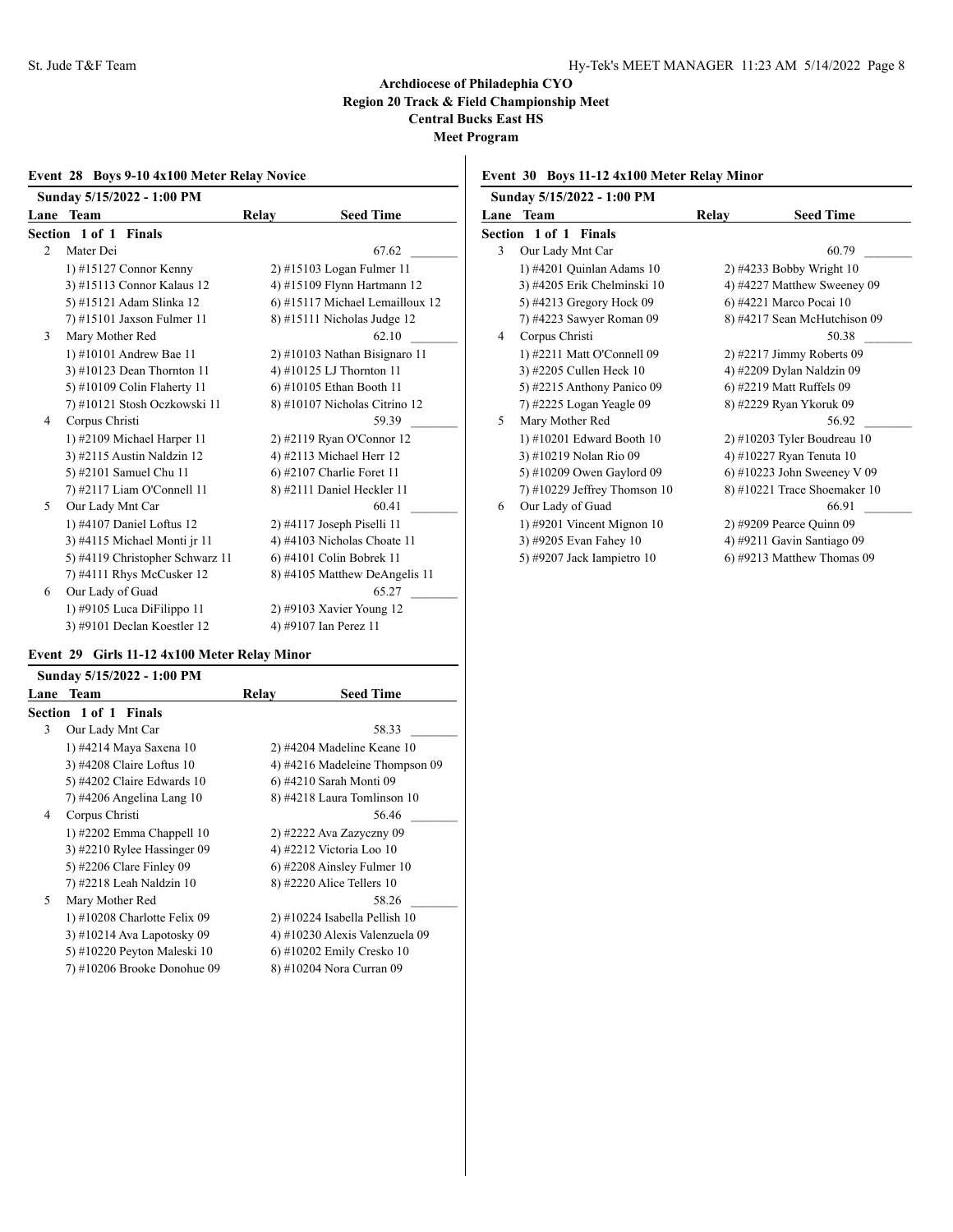# **Event 28 Boys 9-10 4x100 Meter Relay Novice**

| Sunday 5/15/2022 - 1:00 PM |                                 |       |                                 |  |  |
|----------------------------|---------------------------------|-------|---------------------------------|--|--|
| Lane                       | <b>Team</b>                     | Relay | <b>Seed Time</b>                |  |  |
|                            | Section 1 of 1 Finals           |       |                                 |  |  |
| $\mathfrak{D}$             | Mater Dei                       |       | 67.62                           |  |  |
|                            | 1) #15127 Connor Kenny          |       | 2) #15103 Logan Fulmer 11       |  |  |
|                            | 3) #15113 Connor Kalaus 12      |       | 4) #15109 Flynn Hartmann 12     |  |  |
|                            | 5) #15121 Adam Slinka 12        |       | 6) #15117 Michael Lemailloux 12 |  |  |
|                            | 7) #15101 Jaxson Fulmer 11      |       | $8)$ #15111 Nicholas Judge 12   |  |  |
| 3                          | Mary Mother Red                 |       | 62.10                           |  |  |
|                            | 1) #10101 Andrew Bae 11         |       | $2)$ #10103 Nathan Bisignaro 11 |  |  |
|                            | 3) #10123 Dean Thornton 11      |       | 4) #10125 LJ Thornton 11        |  |  |
|                            | 5) #10109 Colin Flaherty 11     |       | 6) #10105 Ethan Booth 11        |  |  |
|                            | 7) #10121 Stosh Oczkowski 11    |       | 8) #10107 Nicholas Citrino 12   |  |  |
| 4                          | Corpus Christi                  |       | 59.39                           |  |  |
|                            | 1) #2109 Michael Harper 11      |       | 2) #2119 Ryan O'Connor 12       |  |  |
|                            | 3) #2115 Austin Naldzin 12      |       | 4) #2113 Michael Herr 12        |  |  |
|                            | 5) #2101 Samuel Chu 11          |       | $6$ ) #2107 Charlie Foret 11    |  |  |
|                            | 7) #2117 Liam O'Connell 11      |       | 8) #2111 Daniel Heckler 11      |  |  |
| 5                          | Our Lady Mnt Car                |       | 60.41                           |  |  |
|                            | 1) #4107 Daniel Loftus 12       |       | 2) #4117 Joseph Piselli 11      |  |  |
|                            | 3) #4115 Michael Monti jr 11    |       | 4) #4103 Nicholas Choate 11     |  |  |
|                            | 5) #4119 Christopher Schwarz 11 |       | 6) #4101 Colin Bobrek 11        |  |  |
|                            | 7) #4111 Rhys McCusker 12       |       | 8) #4105 Matthew DeAngelis 11   |  |  |
| 6                          | Our Lady of Guad                |       | 65.27                           |  |  |
|                            | 1) #9105 Luca DiFilippo 11      |       | 2) #9103 Xavier Young 12        |  |  |
|                            | 3) #9101 Declan Koestler 12     |       | 4) #9107 Ian Perez 11           |  |  |

# **Event 29 Girls 11-12 4x100 Meter Relay Minor**

|    | Sunday 5/15/2022 - 1:00 PM   |       |                                 |
|----|------------------------------|-------|---------------------------------|
|    | Lane Team                    | Relay | <b>Seed Time</b>                |
|    | Section 1 of 1 Finals        |       |                                 |
| 3  | Our Lady Mnt Car             |       | 58.33                           |
|    | 1) #4214 Maya Saxena 10      |       | $2)$ #4204 Madeline Keane 10    |
|    | 3) #4208 Claire Loftus 10    |       | 4) #4216 Madeleine Thompson 09  |
|    | 5) #4202 Claire Edwards 10   |       | 6) #4210 Sarah Monti 09         |
|    | 7) #4206 Angelina Lang 10    |       | 8) #4218 Laura Tomlinson 10     |
| 4  | Corpus Christi               |       | 56.46                           |
|    | 1) $\#2202$ Emma Chappell 10 |       | 2) #2222 Ava Zazyczny 09        |
|    | 3) #2210 Rylee Hassinger 09  |       | 4) #2212 Victoria Loo 10        |
|    | 5) #2206 Clare Finley 09     |       | $(6)$ #2208 Ainsley Fulmer 10   |
|    | 7) #2218 Leah Naldzin 10     |       | $(8)$ #2220 Alice Tellers 10    |
| 5. | Mary Mother Red              |       | 58.26                           |
|    | 1) #10208 Charlotte Felix 09 |       | $2)$ #10224 Isabella Pellish 10 |
|    | 3) #10214 Ava Lapotosky 09   |       | 4) #10230 Alexis Valenzuela 09  |
|    | 5) #10220 Peyton Maleski 10  |       | 6) #10202 Emily Cresko 10       |
|    | 7) #10206 Brooke Donohue 09  |       | 8) #10204 Nora Curran 09        |
|    |                              |       |                                 |

# **Event 30 Boys 11-12 4x100 Meter Relay Minor**

|   | Sunday 5/15/2022 - 1:00 PM     |       |                                |
|---|--------------------------------|-------|--------------------------------|
|   | Lane Team                      | Relay | <b>Seed Time</b>               |
|   | Section 1 of 1 Finals          |       |                                |
| 3 | Our Lady Mnt Car               |       | 60.79                          |
|   | 1) #4201 Quinlan Adams 10      |       | 2) #4233 Bobby Wright 10       |
|   | 3) #4205 Erik Chelminski 10    |       | 4) #4227 Matthew Sweeney 09    |
|   | 5) #4213 Gregory Hock 09       |       | 6) #4221 Marco Pocai 10        |
|   | 7) #4223 Sawyer Roman 09       |       | 8) #4217 Sean McHutchison 09   |
| 4 | Corpus Christi                 |       | 50.38                          |
|   | 1) #2211 Matt O'Connell 09     |       | $2)$ #2217 Jimmy Roberts 09    |
|   | 3) #2205 Cullen Heck 10        |       | 4) #2209 Dylan Naldzin 09      |
|   | 5) #2215 Anthony Panico 09     |       | 6) #2219 Matt Ruffels 09       |
|   | 7) #2225 Logan Yeagle 09       |       | 8) #2229 Ryan Ykoruk 09        |
| 5 | Mary Mother Red                |       | 56.92                          |
|   | 1) #10201 Edward Booth 10      |       | $2)$ #10203 Tyler Boudreau 10  |
|   | 3) #10219 Nolan Rio 09         |       | 4) #10227 Ryan Tenuta 10       |
|   | 5) #10209 Owen Gaylord 09      |       | $6)$ #10223 John Sweeney V 09  |
|   | $7)$ #10229 Jeffrey Thomson 10 |       | $8)$ #10221 Trace Shoemaker 10 |
| 6 | Our Lady of Guad               |       | 66.91                          |
|   | 1) #9201 Vincent Mignon $10$   |       | 2) #9209 Pearce Quinn 09       |
|   | 3) #9205 Evan Fahey 10         |       | 4) #9211 Gavin Santiago 09     |
|   | 5) #9207 Jack Iampietro 10     |       | $(6)$ #9213 Matthew Thomas 09  |
|   |                                |       |                                |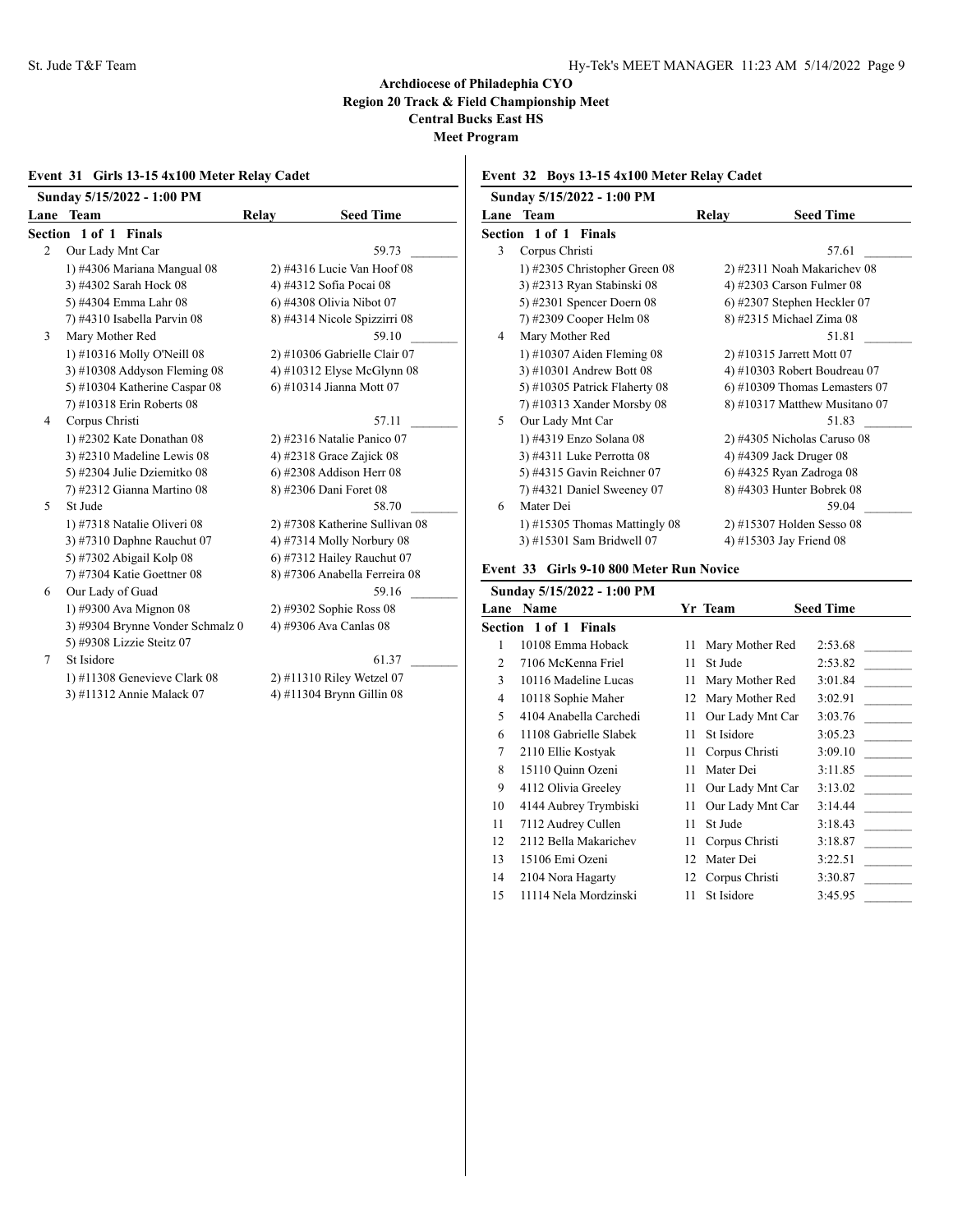# **Event 31 Girls 13-15 4x100 Meter Relay Cadet**

|                | Sunday 5/15/2022 - 1:00 PM       |       |                                |
|----------------|----------------------------------|-------|--------------------------------|
| Lane           | <b>Team</b>                      | Relay | <b>Seed Time</b>               |
|                | Section 1 of 1 Finals            |       |                                |
| $\overline{2}$ | Our Lady Mnt Car                 |       | 59.73                          |
|                | 1) #4306 Mariana Mangual 08      |       | 2) #4316 Lucie Van Hoof 08     |
|                | 3) #4302 Sarah Hock 08           |       | 4) #4312 Sofia Pocai 08        |
|                | 5) #4304 Emma Lahr 08            |       | 6) #4308 Olivia Nibot 07       |
|                | 7) #4310 Isabella Parvin 08      |       | 8) #4314 Nicole Spizzirri 08   |
| 3              | Mary Mother Red                  |       | 59.10                          |
|                | 1) #10316 Molly O'Neill 08       |       | $2)$ #10306 Gabrielle Clair 07 |
|                | 3) #10308 Addyson Fleming 08     |       | 4) #10312 Elyse McGlynn 08     |
|                | 5) #10304 Katherine Caspar 08    |       | 6) #10314 Jianna Mott 07       |
|                | 7) #10318 Erin Roberts 08        |       |                                |
| 4              | Corpus Christi                   |       | 57.11                          |
|                | 1) #2302 Kate Donathan 08        |       | $2)$ #2316 Natalie Panico 07   |
|                | $3)$ #2310 Madeline Lewis 08     |       | 4) #2318 Grace Zajick $08$     |
|                | 5) #2304 Julie Dziemitko 08      |       | 6) #2308 Addison Herr 08       |
|                | 7) #2312 Gianna Martino 08       |       | 8) #2306 Dani Foret 08         |
| 5              | St Jude                          |       | 58.70                          |
|                | 1) #7318 Natalie Oliveri 08      |       | 2) #7308 Katherine Sullivan 08 |
|                | 3) #7310 Daphne Rauchut 07       |       | 4) #7314 Molly Norbury 08      |
|                | 5) #7302 Abigail Kolp 08         |       | $(6)$ #7312 Hailey Rauchut 07  |
|                | 7) #7304 Katie Goettner 08       |       | 8) #7306 Anabella Ferreira 08  |
| 6              | Our Lady of Guad                 |       | 59.16                          |
|                | 1) #9300 Ava Mignon 08           |       | 2) #9302 Sophie Ross 08        |
|                | 3) #9304 Brynne Vonder Schmalz 0 |       | 4) #9306 Ava Canlas 08         |
|                | 5) #9308 Lizzie Steitz 07        |       |                                |
| 7              | St Isidore                       |       | 61.37                          |
|                | 1) #11308 Genevieve Clark 08     |       | 2) #11310 Riley Wetzel 07      |
|                | 3) #11312 Annie Malack 07        |       | 4) #11304 Brynn Gillin 08      |

# **Event 32 Boys 13-15 4x100 Meter Relay Cadet**

| <b>Seed Time</b><br>57.61<br>2) #2311 Noah Makarichev 08<br>4) #2303 Carson Fulmer 08 |
|---------------------------------------------------------------------------------------|
|                                                                                       |
|                                                                                       |
|                                                                                       |
|                                                                                       |
|                                                                                       |
| $(6)$ #2307 Stephen Heckler 07                                                        |
| 8) #2315 Michael Zima 08                                                              |
| 51.81                                                                                 |
| 2) #10315 Jarrett Mott 07                                                             |
| 4) #10303 Robert Boudreau 07                                                          |
| $6$ ) #10309 Thomas Lemasters 07                                                      |
| 8) #10317 Matthew Musitano 07                                                         |
| 51.83                                                                                 |
| 2) #4305 Nicholas Caruso 08                                                           |
| 4) #4309 Jack Druger 08                                                               |
| 6) #4325 Ryan Zadroga 08                                                              |
| 8) #4303 Hunter Bobrek 08                                                             |
| 59.04                                                                                 |
| 2) #15307 Holden Sesso 08                                                             |
| 4) #15303 Jay Friend 08                                                               |
|                                                                                       |

### **Event 33 Girls 9-10 800 Meter Run Novice**

|    | Sunday 5/15/2022 - 1:00 PM |    |                  |                  |
|----|----------------------------|----|------------------|------------------|
|    | <b>Lane Name</b>           |    | Yr Team          | <b>Seed Time</b> |
|    | Section 1 of 1 Finals      |    |                  |                  |
| 1  | 10108 Emma Hoback          | 11 | Mary Mother Red  | 2:53.68          |
| 2  | 7106 McKenna Friel         | 11 | St Jude          | 2:53.82          |
| 3  | 10116 Madeline Lucas       | 11 | Mary Mother Red  | 3:01.84          |
| 4  | 10118 Sophie Maher         | 12 | Mary Mother Red  | 3:02.91          |
| 5  | 4104 Anabella Carchedi     | 11 | Our Lady Mnt Car | 3:03.76          |
| 6  | 11108 Gabrielle Slabek     | 11 | St Isidore       | 3:05.23          |
| 7  | 2110 Ellie Kostyak         | 11 | Corpus Christi   | 3:09.10          |
| 8  | 15110 Ouinn Ozeni          | 11 | Mater Dei        | 3:11.85          |
| 9  | 4112 Olivia Greeley        | 11 | Our Lady Mnt Car | 3:13.02          |
| 10 | 4144 Aubrey Trymbiski      | 11 | Our Lady Mnt Car | 3:14.44          |
| 11 | 7112 Audrey Cullen         | 11 | St Jude          | 3:18.43          |
| 12 | 2112 Bella Makarichev      | 11 | Corpus Christi   | 3:18.87          |
| 13 | 15106 Emi Ozeni            | 12 | Mater Dei        | 3:22.51          |
| 14 | 2104 Nora Hagarty          | 12 | Corpus Christi   | 3:30.87          |
| 15 | 11114 Nela Mordzinski      | 11 | St Isidore       | 3:45.95          |
|    |                            |    |                  |                  |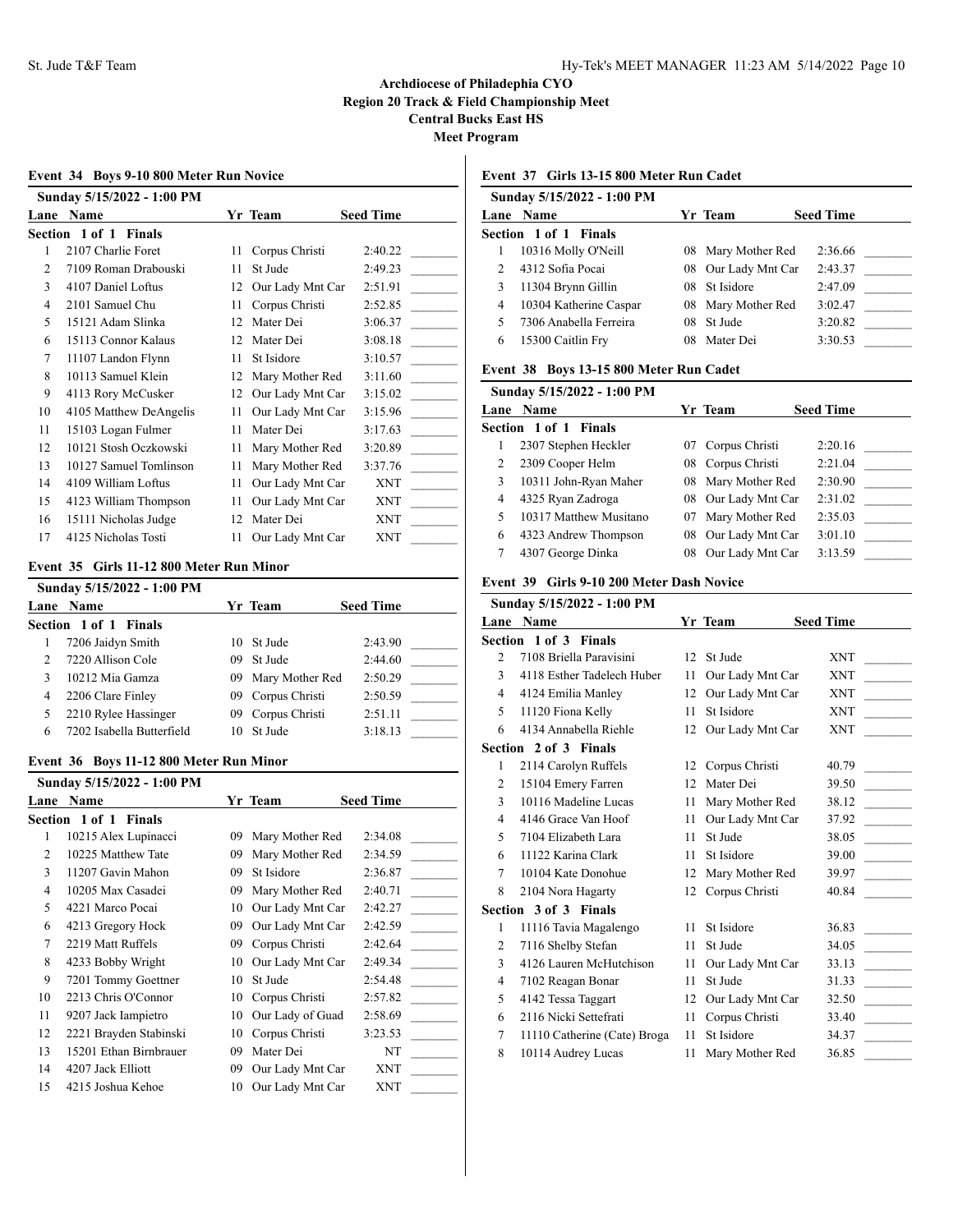| Event 34 Boys 9-10 800 Meter Run Novice |                        |    |                  |                  |  |  |  |
|-----------------------------------------|------------------------|----|------------------|------------------|--|--|--|
| Sunday 5/15/2022 - 1:00 PM              |                        |    |                  |                  |  |  |  |
| Lane                                    | <b>Name</b>            |    | Yr Team          | <b>Seed Time</b> |  |  |  |
|                                         | Section 1 of 1 Finals  |    |                  |                  |  |  |  |
| 1                                       | 2107 Charlie Foret     | 11 | Corpus Christi   | 2:40.22          |  |  |  |
| 2                                       | 7109 Roman Drabouski   | 11 | St Jude          | 2:49.23          |  |  |  |
| 3                                       | 4107 Daniel Loftus     | 12 | Our Lady Mnt Car | 2:51.91          |  |  |  |
| $\overline{4}$                          | 2101 Samuel Chu        | 11 | Corpus Christi   | 2:52.85          |  |  |  |
| 5                                       | 15121 Adam Slinka      | 12 | Mater Dei        | 3:06.37          |  |  |  |
| 6                                       | 15113 Connor Kalaus    | 12 | Mater Dei        | 3:08.18          |  |  |  |
| 7                                       | 11107 Landon Flynn     | 11 | St Isidore       | 3:10.57          |  |  |  |
| 8                                       | 10113 Samuel Klein     | 12 | Mary Mother Red  | 3:11.60          |  |  |  |
| 9                                       | 4113 Rory McCusker     | 12 | Our Lady Mnt Car | 3:15.02          |  |  |  |
| 10                                      | 4105 Matthew DeAngelis | 11 | Our Lady Mnt Car | 3:15.96          |  |  |  |
| 11                                      | 15103 Logan Fulmer     | 11 | Mater Dei        | 3:17.63          |  |  |  |
| 12                                      | 10121 Stosh Oczkowski  | 11 | Mary Mother Red  | 3:20.89          |  |  |  |
| 13                                      | 10127 Samuel Tomlinson | 11 | Mary Mother Red  | 3:37.76          |  |  |  |
| 14                                      | 4109 William Loftus    | 11 | Our Lady Mnt Car | <b>XNT</b>       |  |  |  |
| 15                                      | 4123 William Thompson  | 11 | Our Lady Mnt Car | <b>XNT</b>       |  |  |  |
| 16                                      | 15111 Nicholas Judge   | 12 | Mater Dei        | <b>XNT</b>       |  |  |  |
| 17                                      | 4125 Nicholas Tosti    | 11 | Our Lady Mnt Car | <b>XNT</b>       |  |  |  |

#### **Event 35 Girls 11-12 800 Meter Run Minor**

|   | Sunday 5/15/2022 - 1:00 PM |    |                    |                  |
|---|----------------------------|----|--------------------|------------------|
|   | Lane Name                  |    | Yr Team            | <b>Seed Time</b> |
|   | Section 1 of 1 Finals      |    |                    |                  |
|   | 7206 Jaidyn Smith          | 10 | St Jude            | 2:43.90          |
| 2 | 7220 Allison Cole          | 09 | St Jude            | 2:44.60          |
| ٩ | 10212 Mia Gamza            |    | 09 Mary Mother Red | 2:50.29          |
| 4 | 2206 Clare Finley          | 09 | Corpus Christi     | 2:50.59          |
| 5 | 2210 Rylee Hassinger       | 09 | Corpus Christi     | 2:51.11          |
| 6 | 7202 Isabella Butterfield  | 10 | St Jude            | 3:18.13          |

# **Event 36 Boys 11-12 800 Meter Run Minor**

|      | Sunday 5/15/2022 - 1:00 PM |    |                  |                  |
|------|----------------------------|----|------------------|------------------|
| Lane | <b>Name</b>                |    | Yr Team          | <b>Seed Time</b> |
|      | Section 1 of 1 Finals      |    |                  |                  |
| 1    | 10215 Alex Lupinacci       | 09 | Mary Mother Red  | 2:34.08          |
| 2    | 10225 Matthew Tate         | 09 | Mary Mother Red  | 2:34.59          |
| 3    | 11207 Gavin Mahon          | 09 | St Isidore       | 2:36.87          |
| 4    | 10205 Max Casadei          | 09 | Mary Mother Red  | 2:40.71          |
| 5    | 4221 Marco Pocai           | 10 | Our Lady Mnt Car | 2:42.27          |
| 6    | 4213 Gregory Hock          | 09 | Our Lady Mnt Car | 2:42.59          |
| 7    | 2219 Matt Ruffels          | 09 | Corpus Christi   | 2:42.64          |
| 8    | 4233 Bobby Wright          | 10 | Our Lady Mnt Car | 2:49.34          |
| 9    | 7201 Tommy Goettner        | 10 | St Jude          | 2:54.48          |
| 10   | 2213 Chris O'Connor        | 10 | Corpus Christi   | 2:57.82          |
| 11   | 9207 Jack Iampietro        | 10 | Our Lady of Guad | 2:58.69          |
| 12   | 2221 Brayden Stabinski     | 10 | Corpus Christi   | 3:23.53          |
| 13   | 15201 Ethan Birnbrauer     | 09 | Mater Dei        | NT               |
| 14   | 4207 Jack Elliott          | 09 | Our Lady Mnt Car | <b>XNT</b>       |
| 15   | 4215 Joshua Kehoe          | 10 | Our Lady Mnt Car | <b>XNT</b>       |

# **Event 37 Girls 13-15 800 Meter Run Cadet**

| Yr Team<br>Lane Name<br>Section 1 of 1 Finals<br>10316 Molly O'Neill<br>08 Mary Mother Red |                  |
|--------------------------------------------------------------------------------------------|------------------|
|                                                                                            | <b>Seed Time</b> |
|                                                                                            |                  |
|                                                                                            | 2:36.66          |
| 4312 Sofia Pocai<br>Our Lady Mnt Car<br>2<br>08                                            | 2:43.37          |
| St Isidore<br>11304 Brynn Gillin<br>3<br>08                                                | 2:47.09          |
| 10304 Katherine Caspar<br>08 Mary Mother Red<br>4                                          | 3:02.47          |
| 7306 Anabella Ferreira<br>St Jude<br>08                                                    | 3:20.82          |
| 15300 Caitlin Fry<br>Mater Dei<br>08<br>6                                                  | 3:30.53          |

#### **Event 38 Boys 13-15 800 Meter Run Cadet**

| Sunday 5/15/2022 - 1:00 PM |                        |     |                     |                  |
|----------------------------|------------------------|-----|---------------------|------------------|
|                            | Lane Name              |     | Yr Team             | <b>Seed Time</b> |
|                            | Section 1 of 1 Finals  |     |                     |                  |
|                            | 2307 Stephen Heckler   | 07  | Corpus Christi      | 2:20.16          |
| $\overline{2}$             | 2309 Cooper Helm       |     | 08 Corpus Christi   | 2:21.04          |
| 3                          | 10311 John-Ryan Maher  |     | 08 Mary Mother Red  | 2:30.90          |
| 4                          | 4325 Ryan Zadroga      |     | 08 Our Lady Mnt Car | 2:31.02          |
| 5                          | 10317 Matthew Musitano |     | 07 Mary Mother Red  | 2:35.03          |
| 6                          | 4323 Andrew Thompson   | 08. | Our Lady Mnt Car    | 3:01.10          |
|                            | 4307 George Dinka      | 08  | Our Lady Mnt Car    | 3:13.59          |

#### **Event 39 Girls 9-10 200 Meter Dash Novice**

|                | Sunday 5/15/2022 - 1:00 PM   |                  |                     |                  |
|----------------|------------------------------|------------------|---------------------|------------------|
|                | <b>Lane Name</b>             |                  | Yr Team             | <b>Seed Time</b> |
|                | Section 1 of 3 Finals        |                  |                     |                  |
| $\overline{c}$ | 7108 Briella Paravisini      |                  | 12 St Jude          | <b>XNT</b>       |
| 3              | 4118 Esther Tadelech Huber   | 11               | Our Lady Mnt Car    | <b>XNT</b>       |
| 4              | 4124 Emilia Manley           | 12               | Our Lady Mnt Car    | <b>XNT</b>       |
| 5              | 11120 Fiona Kelly            | 11               | St Isidore          | <b>XNT</b>       |
| 6              | 4134 Annabella Riehle        |                  | 12 Our Lady Mnt Car | <b>XNT</b>       |
|                | Section 2 of 3 Finals        |                  |                     |                  |
| 1              | 2114 Carolyn Ruffels         | 12 <sup>12</sup> | Corpus Christi      | 40.79            |
| $\overline{2}$ | 15104 Emery Farren           | 12               | Mater Dei           | 39.50            |
| 3              | 10116 Madeline Lucas         | 11               | Mary Mother Red     | 38.12            |
| $\overline{4}$ | 4146 Grace Van Hoof          | 11               | Our Lady Mnt Car    | 37.92            |
| 5              | 7104 Elizabeth Lara          | 11               | St Jude             | 38.05            |
| 6              | 11122 Karina Clark           | 11               | St Isidore          | 39.00            |
| 7              | 10104 Kate Donohue           | 12               | Mary Mother Red     | 39.97            |
| 8              | 2104 Nora Hagarty            | 12               | Corpus Christi      | 40.84            |
|                | Section 3 of 3 Finals        |                  |                     |                  |
| 1              | 11116 Tavia Magalengo        | 11               | St Isidore          | 36.83            |
| 2              | 7116 Shelby Stefan           | 11               | St Jude             | 34.05            |
| 3              | 4126 Lauren McHutchison      | 11               | Our Lady Mnt Car    | 33.13            |
| 4              | 7102 Reagan Bonar            | 11               | St Jude             | 31.33            |
| 5              | 4142 Tessa Taggart           |                  | 12 Our Lady Mnt Car | 32.50            |
| 6              | 2116 Nicki Settefrati        | 11               | Corpus Christi      | 33.40            |
| 7              | 11110 Catherine (Cate) Broga | 11               | St Isidore          | 34.37            |
| 8              | 10114 Audrey Lucas           | 11               | Mary Mother Red     | 36.85            |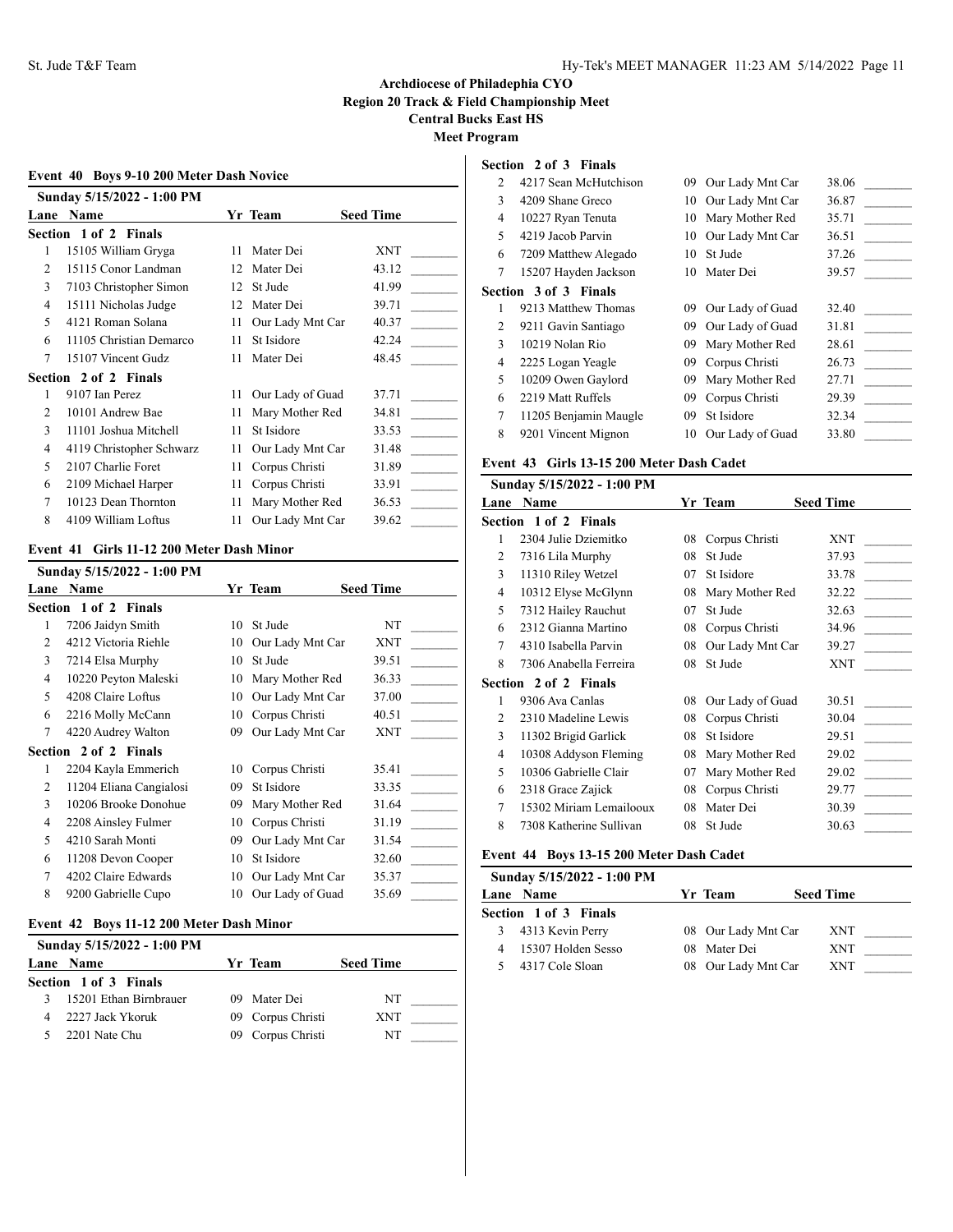# **Event 40 Boys 9-10 200 Meter Dash Novice Sunday 5/15/2022 - 1:00 PM Lane Name Yr Team Seed Time Section 1 of 2 Finals** 1 15105 William Gryga 11 Mater Dei XNT 2 15115 Conor Landman 12 Mater Dei 43.12 3 7103 Christopher Simon 12 St Jude 41.99 4 15111 Nicholas Judge 12 Mater Dei 39.71 5 4121 Roman Solana 11 Our Lady Mnt Car 40.37 6 11105 Christian Demarco 11 St Isidore 42.24 \_\_\_\_\_\_\_\_\_ 7 15107 Vincent Gudz 11 Mater Dei 48.45 \_\_\_\_\_\_\_\_\_ **Section 2 of 2 Finals** 1 9107 Ian Perez 11 Our Lady of Guad 37.71<br>2 10101 Andrew Bae 11 Mary Mother Red 34.81 11 Mary Mother Red 34.81 3 11101 Joshua Mitchell 11 St Isidore 33.53 4 4119 Christopher Schwarz 11 Our Lady Mnt Car 31.48 5 2107 Charlie Foret 11 Corpus Christi 31.89 6 2109 Michael Harper 11 Corpus Christi 33.91 \_\_\_\_\_\_\_\_\_ 7 10123 Dean Thornton 11 Mary Mother Red 36.53 8 4109 William Loftus 11 Our Lady Mnt Car 39.62

#### **Event 41 Girls 11-12 200 Meter Dash Minor**

|      | Sunday 5/15/2022 - 1:00 PM |    |                  |                  |
|------|----------------------------|----|------------------|------------------|
| Lane | Name                       |    | Yr Team          | <b>Seed Time</b> |
|      | Section 1 of 2 Finals      |    |                  |                  |
| 1    | 7206 Jaidyn Smith          | 10 | St Jude          | NT               |
| 2    | 4212 Victoria Riehle       | 10 | Our Lady Mnt Car | <b>XNT</b>       |
| 3    | 7214 Elsa Murphy           | 10 | St Jude          | 39.51            |
| 4    | 10220 Peyton Maleski       | 10 | Mary Mother Red  | 36.33            |
| 5    | 4208 Claire Loftus         | 10 | Our Lady Mnt Car | 37.00            |
| 6    | 2216 Molly McCann          | 10 | Corpus Christi   | 40.51            |
| 7    | 4220 Audrey Walton         | 09 | Our Lady Mnt Car | <b>XNT</b>       |
|      | Section 2 of 2 Finals      |    |                  |                  |
| 1    | 2204 Kayla Emmerich        | 10 | Corpus Christi   | 35.41            |
| 2    | 11204 Eliana Cangialosi    | 09 | St Isidore       | 33.35            |
| 3    | 10206 Brooke Donohue       | 09 | Mary Mother Red  | 31.64            |
| 4    | 2208 Ainsley Fulmer        | 10 | Corpus Christi   | 31.19            |
| 5    | 4210 Sarah Monti           | 09 | Our Lady Mnt Car | 31.54            |
| 6    | 11208 Devon Cooper         | 10 | St Isidore       | 32.60            |
| 7    | 4202 Claire Edwards        | 10 | Our Lady Mnt Car | 35.37            |
| 8    | 9200 Gabrielle Cupo        | 10 | Our Lady of Guad | 35.69            |
|      |                            |    |                  |                  |

### **Event 42 Boys 11-12 200 Meter Dash Minor**

|   | Sunday 5/15/2022 - 1:00 PM |                   |                  |  |
|---|----------------------------|-------------------|------------------|--|
|   | Lane Name                  | Yr Team           | <b>Seed Time</b> |  |
|   | Section 1 of 3 Finals      |                   |                  |  |
| 3 | 15201 Ethan Birnbrauer     | 09 Mater Dei      | NT               |  |
|   | 2227 Jack Ykoruk           | 09 Corpus Christi | <b>XNT</b>       |  |
|   | 2201 Nate Chu              | 09 Corpus Christi | NT               |  |

#### **Section 2 of 3 Finals**

| 2 | 4217 Sean McHutchison | 09  | Our Lady Mnt Car | 38.06 |  |
|---|-----------------------|-----|------------------|-------|--|
| 3 | 4209 Shane Greco      | 10  | Our Lady Mnt Car | 36.87 |  |
| 4 | 10227 Ryan Tenuta     | 10  | Mary Mother Red  | 35.71 |  |
| 5 | 4219 Jacob Parvin     | 10  | Our Lady Mnt Car | 36.51 |  |
| 6 | 7209 Matthew Alegado  | 10. | - St Jude        | 37.26 |  |
| 7 | 15207 Hayden Jackson  | 10  | Mater Dei        | 39.57 |  |
|   | Section 3 of 3 Finals |     |                  |       |  |
| 1 | 9213 Matthew Thomas   | 09  | Our Lady of Guad | 32.40 |  |
| 2 | 9211 Gavin Santiago   | 09. | Our Lady of Guad | 31.81 |  |
| 3 | 10219 Nolan Rio       | 09  | Mary Mother Red  | 28.61 |  |
| 4 | 2225 Logan Yeagle     | 09  | Corpus Christi   | 26.73 |  |
| 5 | 10209 Owen Gaylord    | 09  | Mary Mother Red  | 27.71 |  |
| 6 | 2219 Matt Ruffels     | 09  | Corpus Christi   | 29.39 |  |
| 7 | 11205 Benjamin Maugle | 09  | St Isidore       | 32.34 |  |
| 8 | 9201 Vincent Mignon   | 10  | Our Lady of Guad | 33.80 |  |
|   |                       |     |                  |       |  |

### **Event 43 Girls 13-15 200 Meter Dash Cadet**

|   | Sunday 5/15/2022 - 1:00 PM   |    |                  |                  |
|---|------------------------------|----|------------------|------------------|
|   | <b>Lane Name</b>             |    | Yr Team          | <b>Seed Time</b> |
|   | <b>Section 1 of 2 Finals</b> |    |                  |                  |
| 1 | 2304 Julie Dziemitko         | 08 | Corpus Christi   | <b>XNT</b>       |
| 2 | 7316 Lila Murphy             | 08 | St Jude          | 37.93            |
| 3 | 11310 Riley Wetzel           | 07 | St Isidore       | 33.78            |
| 4 | 10312 Elyse McGlynn          | 08 | Mary Mother Red  | 32.22            |
| 5 | 7312 Hailey Rauchut          | 07 | St Jude          | 32.63            |
| 6 | 2312 Gianna Martino          | 08 | Corpus Christi   | 34.96            |
| 7 | 4310 Isabella Parvin         | 08 | Our Lady Mnt Car | 39.27            |
| 8 | 7306 Anabella Ferreira       | 08 | St Jude          | <b>XNT</b>       |
|   | Section 2 of 2 Finals        |    |                  |                  |
| 1 | 9306 Ava Canlas              | 08 | Our Lady of Guad | 30.51            |
| 2 | 2310 Madeline Lewis          | 08 | Corpus Christi   | 30.04            |
| 3 | 11302 Brigid Garlick         | 08 | St Isidore       | 29.51            |
| 4 | 10308 Addyson Fleming        | 08 | Mary Mother Red  | 29.02            |
| 5 | 10306 Gabrielle Clair        | 07 | Mary Mother Red  | 29.02            |
| 6 | 2318 Grace Zajick            | 08 | Corpus Christi   | 29.77            |
| 7 | 15302 Miriam Lemailooux      | 08 | Mater Dei        | 30.39            |
| 8 | 7308 Katherine Sullivan      | 08 | St Jude          | 30.63            |
|   |                              |    |                  |                  |

# **Event 44 Boys 13-15 200 Meter Dash Cadet**

|   | Sunday 5/15/2022 - 1:00 PM |                     |                  |  |
|---|----------------------------|---------------------|------------------|--|
|   | <b>Lane Name</b>           | Yr Team             | <b>Seed Time</b> |  |
|   | Section 1 of 3 Finals      |                     |                  |  |
| 3 | 4313 Kevin Perry           | 08 Our Lady Mnt Car | <b>XNT</b>       |  |
|   | 15307 Holden Sesso         | 08 Mater Dei        | <b>XNT</b>       |  |
|   | 4317 Cole Sloan            | 08 Our Lady Mnt Car | <b>XNT</b>       |  |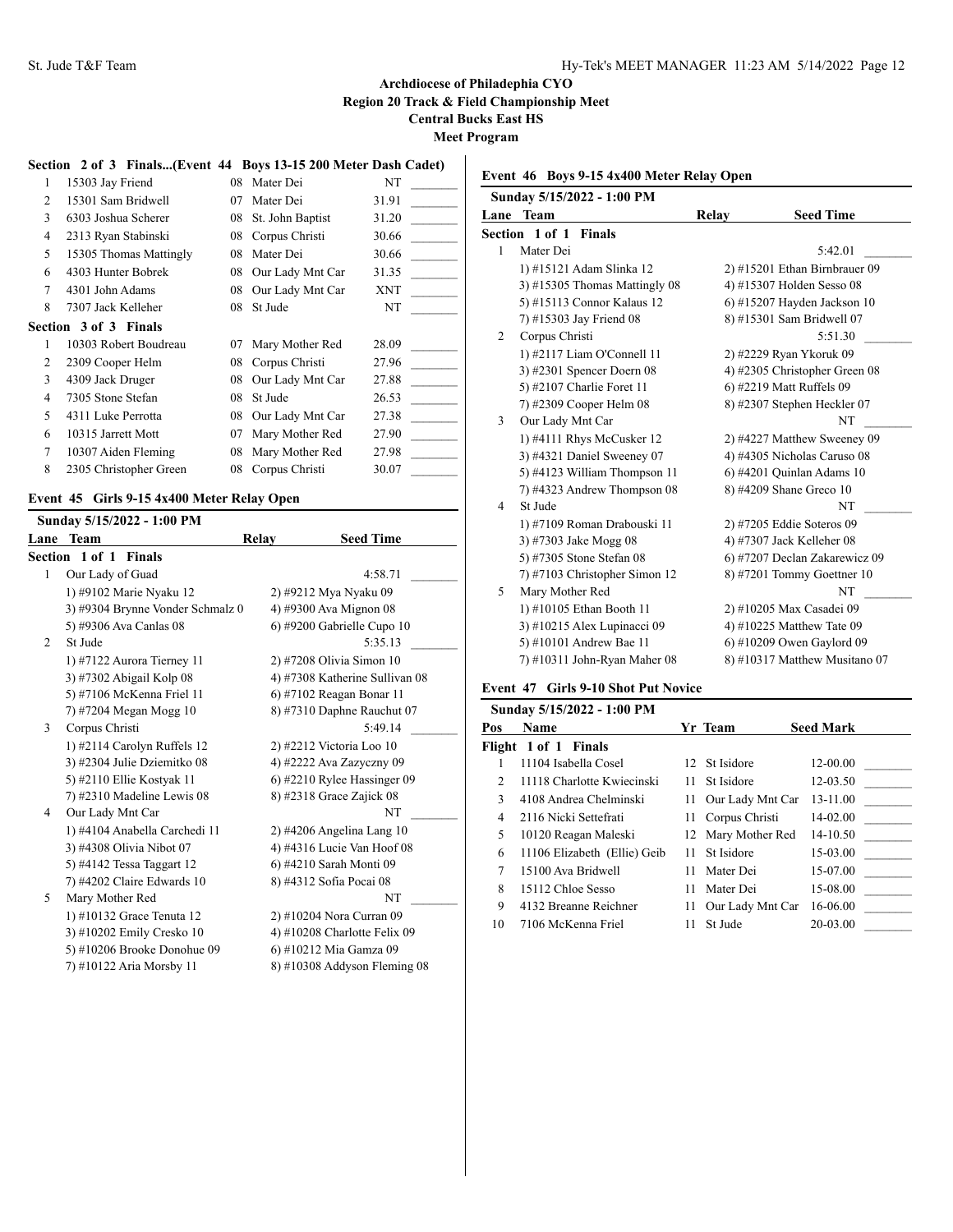**Meet Program**

# **Section 2 of 3 Finals...(Event 44 Boys 13-15 200 Meter Dash Cadet)**

| 1 | 15303 Jay Friend       | 08 | Mater Dei        | NT         |
|---|------------------------|----|------------------|------------|
| 2 | 15301 Sam Bridwell     | 07 | Mater Dei        | 31.91      |
| 3 | 6303 Joshua Scherer    | 08 | St. John Baptist | 31.20      |
| 4 | 2313 Ryan Stabinski    | 08 | Corpus Christi   | 30.66      |
| 5 | 15305 Thomas Mattingly | 08 | Mater Dei        | 30.66      |
| 6 | 4303 Hunter Bobrek     | 08 | Our Lady Mnt Car | 31.35      |
| 7 | 4301 John Adams        | 08 | Our Lady Mnt Car | <b>XNT</b> |
| 8 | 7307 Jack Kelleher     | 08 | St Jude          | NT         |
|   | Section 3 of 3 Finals  |    |                  |            |
| 1 | 10303 Robert Boudreau  | 07 | Mary Mother Red  | 28.09      |
| 2 | 2309 Cooper Helm       | 08 | Corpus Christi   | 27.96      |
| 3 | 4309 Jack Druger       | 08 | Our Lady Mnt Car | 27.88      |
| 4 | 7305 Stone Stefan      | 08 | St Jude          | 26.53      |
| 5 | 4311 Luke Perrotta     | 08 | Our Lady Mnt Car | 27.38      |
| 6 | 10315 Jarrett Mott     | 07 | Mary Mother Red  | 27.90      |
| 7 | 10307 Aiden Fleming    | 08 | Mary Mother Red  | 27.98      |
| 8 | 2305 Christopher Green | 08 | Corpus Christi   | 30.07      |
|   |                        |    |                  |            |

# **Event 45 Girls 9-15 4x400 Meter Relay Open**

| Sunday 5/15/2022 - 1:00 PM |                                  |       |                                |  |
|----------------------------|----------------------------------|-------|--------------------------------|--|
| Lane                       | <b>Team</b>                      | Relay | <b>Seed Time</b>               |  |
|                            | Section 1 of 1 Finals            |       |                                |  |
| 1                          | Our Lady of Guad                 |       | 4:58.71                        |  |
|                            | 1) #9102 Marie Nyaku 12          |       | 2) #9212 Mya Nyaku 09          |  |
|                            | 3) #9304 Brynne Vonder Schmalz 0 |       | 4) #9300 Ava Mignon 08         |  |
|                            | 5) #9306 Ava Canlas 08           |       | 6) #9200 Gabrielle Cupo 10     |  |
| $\overline{c}$             | St Jude                          |       | 5:35.13                        |  |
|                            | 1) #7122 Aurora Tierney 11       |       | 2) #7208 Olivia Simon 10       |  |
|                            | 3) #7302 Abigail Kolp 08         |       | 4) #7308 Katherine Sullivan 08 |  |
|                            | 5) #7106 McKenna Friel 11        |       | 6) #7102 Reagan Bonar 11       |  |
|                            | 7) #7204 Megan Mogg 10           |       | 8) #7310 Daphne Rauchut 07     |  |
| 3                          | Corpus Christi                   |       | 5:49.14                        |  |
|                            | 1) #2114 Carolyn Ruffels 12      |       | 2) #2212 Victoria Loo 10       |  |
|                            | 3) #2304 Julie Dziemitko 08      |       | 4) #2222 Ava Zazyczny 09       |  |
|                            | 5) #2110 Ellie Kostyak 11        |       | $6$ ) #2210 Rylee Hassinger 09 |  |
|                            | 7) #2310 Madeline Lewis 08       |       | 8) #2318 Grace Zajick 08       |  |
| 4                          | Our Lady Mnt Car                 |       | <b>NT</b>                      |  |
|                            | 1) #4104 Anabella Carchedi 11    |       | $2)$ #4206 Angelina Lang 10    |  |
|                            | 3) #4308 Olivia Nibot 07         |       | 4) #4316 Lucie Van Hoof 08     |  |
|                            | 5) #4142 Tessa Taggart 12        |       | 6) #4210 Sarah Monti 09        |  |
|                            | 7) #4202 Claire Edwards $10$     |       | 8) #4312 Sofia Pocai 08        |  |
| 5                          | Mary Mother Red                  |       | NT                             |  |
|                            | 1) #10132 Grace Tenuta 12        |       | 2) #10204 Nora Curran 09       |  |
|                            | 3) #10202 Emily Cresko 10        |       | 4) #10208 Charlotte Felix 09   |  |
|                            | 5) #10206 Brooke Donohue 09      |       | 6) #10212 Mia Gamza 09         |  |
|                            | 7) #10122 Aria Morsby 11         |       | $8)$ #10308 Addyson Fleming 08 |  |

# **Event 46 Boys 9-15 4x400 Meter Relay Open**

|              | Sunday 5/15/2022 - 1:00 PM    |                                |
|--------------|-------------------------------|--------------------------------|
| Lane         | <b>Team</b>                   | <b>Seed Time</b><br>Relay      |
|              | <b>Section 1 of 1 Finals</b>  |                                |
| $\mathbf{1}$ | Mater Dei                     | 5:42.01                        |
|              | 1) #15121 Adam Slinka 12      | 2) #15201 Ethan Birnbrauer 09  |
|              | 3) #15305 Thomas Mattingly 08 | 4) #15307 Holden Sesso 08      |
|              | 5) #15113 Connor Kalaus 12    | $6$ ) #15207 Hayden Jackson 10 |
|              | 7) #15303 Jay Friend 08       | 8) #15301 Sam Bridwell 07      |
| 2            | Corpus Christi                | 5:51.30                        |
|              | 1) #2117 Liam O'Connell 11    | 2) #2229 Ryan Ykoruk 09        |
|              | 3) #2301 Spencer Doern $08$   | 4) #2305 Christopher Green 08  |
|              | 5) #2107 Charlie Foret 11     | 6) #2219 Matt Ruffels 09       |
|              | 7) #2309 Cooper Helm 08       | 8) #2307 Stephen Heckler 07    |
| 3            | Our Lady Mnt Car              | <b>NT</b>                      |
|              | 1) #4111 Rhys McCusker 12     | 2) #4227 Matthew Sweeney 09    |
|              | 3) #4321 Daniel Sweeney 07    | 4) #4305 Nicholas Caruso 08    |
|              | 5) #4123 William Thompson 11  | 6) #4201 Quinlan Adams 10      |
|              | 7) #4323 Andrew Thompson 08   | 8) #4209 Shane Greco 10        |
| 4            | St Jude                       | <b>NT</b>                      |
|              | 1) #7109 Roman Drabouski 11   | 2) #7205 Eddie Soteros 09      |
|              | 3) #7303 Jake Mogg 08         | 4) #7307 Jack Kelleher 08      |
|              | 5) #7305 Stone Stefan 08      | 6) #7207 Declan Zakarewicz 09  |
|              | 7) #7103 Christopher Simon 12 | 8) #7201 Tommy Goettner 10     |
| 5            | Mary Mother Red               | <b>NT</b>                      |
|              | 1) #10105 Ethan Booth 11      | 2) #10205 Max Casadei 09       |
|              | 3) #10215 Alex Lupinacci 09   | 4) #10225 Matthew Tate 09      |
|              | 5) #10101 Andrew Bae 11       | 6) #10209 Owen Gaylord 09      |
|              | 7) #10311 John-Ryan Maher 08  | 8) #10317 Matthew Musitano 07  |

#### **Event 47 Girls 9-10 Shot Put Novice**

|                | Sunday 5/15/2022 - 1:00 PM   |     |                     |                  |
|----------------|------------------------------|-----|---------------------|------------------|
| Pos            | <b>Name</b>                  |     | Yr Team             | <b>Seed Mark</b> |
|                | Flight 1 of 1 Finals         |     |                     |                  |
|                | 11104 Isabella Cosel         |     | 12 St Isidore       | 12-00.00         |
| $\mathfrak{D}$ | 11118 Charlotte Kwiecinski   |     | 11 St Isidore       | $12-03.50$       |
| $\mathbf{3}$   | 4108 Andrea Chelminski       |     | 11 Our Lady Mnt Car | 13-11.00         |
| 4              | 2116 Nicki Settefrati        |     | 11 Corpus Christi   | 14-02.00         |
| 5              | 10120 Reagan Maleski         |     | 12 Mary Mother Red  | 14-10.50         |
| 6              | 11106 Elizabeth (Ellie) Geib | 11. | St Isidore          | $15-03.00$       |
| 7              | 15100 Ava Bridwell           | 11  | Mater Dei           | 15-07.00         |
| 8              | 15112 Chloe Sesso            | 11  | Mater Dei           | 15-08.00         |
| 9              | 4132 Breanne Reichner        |     | 11 Our Lady Mnt Car | 16-06.00         |
| 10             | 7106 McKenna Friel           | 11  | St Jude             | 20-03.00         |
|                |                              |     |                     |                  |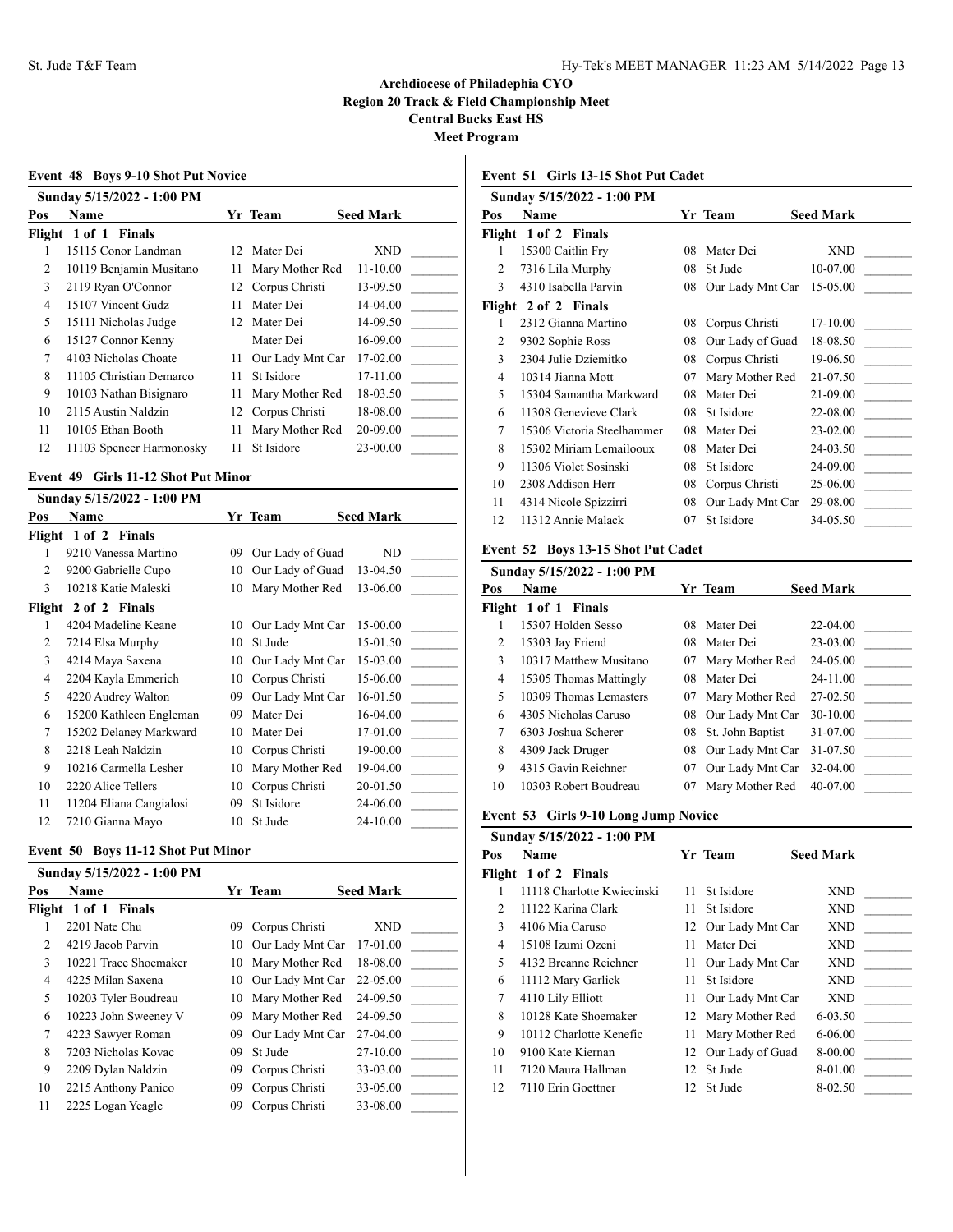**Event 48 Boys 9-10 Shot Put Novice**

|     | Sunday 5/15/2022 - 1:00 PM |    |                   |                  |
|-----|----------------------------|----|-------------------|------------------|
| Pos | <b>Name</b>                |    | Yr Team           | <b>Seed Mark</b> |
|     | Flight 1 of 1 Finals       |    |                   |                  |
|     | 15115 Conor Landman        |    | 12 Mater Dei      | <b>XND</b>       |
| 2   | 10119 Benjamin Musitano    | 11 | Mary Mother Red   | $11 - 10.00$     |
| 3   | 2119 Ryan O'Connor         |    | 12 Corpus Christi | 13-09.50         |
| 4   | 15107 Vincent Gudz         | 11 | Mater Dei         | 14-04.00         |
| 5   | 15111 Nicholas Judge       |    | 12 Mater Dei      | 14-09.50         |
| 6   | 15127 Connor Kenny         |    | Mater Dei         | 16-09.00         |
| 7   | 4103 Nicholas Choate       | 11 | Our Lady Mnt Car  | 17-02.00         |
| 8   | 11105 Christian Demarco    | 11 | St Isidore        | 17-11.00         |
| 9   | 10103 Nathan Bisignaro     | 11 | Mary Mother Red   | 18-03.50         |
| 10  | 2115 Austin Naldzin        |    | 12 Corpus Christi | 18-08.00         |
| 11  | 10105 Ethan Booth          | 11 | Mary Mother Red   | 20-09.00         |
| 12  | 11103 Spencer Harmonosky   | 11 | St Isidore        | 23-00.00         |

#### **Event 49 Girls 11-12 Shot Put Minor**

|              | Sunday 5/15/2022 - 1:00 PM |    |                  |                  |
|--------------|----------------------------|----|------------------|------------------|
| Pos          | Name                       |    | Yr Team          | <b>Seed Mark</b> |
|              | Flight 1 of 2 Finals       |    |                  |                  |
| 1            | 9210 Vanessa Martino       | 09 | Our Lady of Guad | ND               |
| 2            | 9200 Gabrielle Cupo        | 10 | Our Lady of Guad | 13-04.50         |
| $\mathbf{3}$ | 10218 Katie Maleski        | 10 | Mary Mother Red  | 13-06.00         |
| Flight       | 2 of 2 Finals              |    |                  |                  |
| 1            | 4204 Madeline Keane        | 10 | Our Lady Mnt Car | 15-00.00         |
| 2            | 7214 Elsa Murphy           | 10 | St Jude          | 15-01.50         |
| 3            | 4214 Maya Saxena           | 10 | Our Lady Mnt Car | 15-03.00         |
| 4            | 2204 Kayla Emmerich        | 10 | Corpus Christi   | 15-06.00         |
| 5            | 4220 Audrey Walton         | 09 | Our Lady Mnt Car | 16-01.50         |
| 6            | 15200 Kathleen Engleman    | 09 | Mater Dei        | 16-04.00         |
| 7            | 15202 Delaney Markward     | 10 | Mater Dei        | 17-01.00         |
| 8            | 2218 Leah Naldzin          | 10 | Corpus Christi   | 19-00.00         |
| 9            | 10216 Carmella Lesher      | 10 | Mary Mother Red  | 19-04.00         |
| 10           | 2220 Alice Tellers         | 10 | Corpus Christi   | 20-01.50         |
| 11           | 11204 Eliana Cangialosi    | 09 | St Isidore       | 24-06.00         |
| 12           | 7210 Gianna Mayo           | 10 | St Jude          | 24-10.00         |

# **Event 50 Boys 11-12 Shot Put Minor**

|     | Sunday 5/15/2022 - 1:00 PM |    |                     |                  |
|-----|----------------------------|----|---------------------|------------------|
| Pos | <b>Name</b>                |    | Yr Team             | <b>Seed Mark</b> |
|     | Flight 1 of 1 Finals       |    |                     |                  |
|     | 2201 Nate Chu              | 09 | Corpus Christi      | <b>XND</b>       |
| 2   | 4219 Jacob Parvin          |    | 10 Our Lady Mnt Car | 17-01.00         |
| 3   | 10221 Trace Shoemaker      |    | 10 Mary Mother Red  | 18-08.00         |
| 4   | 4225 Milan Saxena          |    | 10 Our Lady Mnt Car | 22-05.00         |
| 5   | 10203 Tyler Boudreau       | 10 | Mary Mother Red     | 24-09.50         |
| 6   | 10223 John Sweeney V       | 09 | Mary Mother Red     | 24-09.50         |
| 7   | 4223 Sawyer Roman          | 09 | Our Lady Mnt Car    | 27-04.00         |
| 8   | 7203 Nicholas Kovac        | 09 | St Jude             | 27-10.00         |
| 9   | 2209 Dylan Naldzin         | 09 | Corpus Christi      | 33-03.00         |
| 10  | 2215 Anthony Panico        | 09 | Corpus Christi      | 33-05.00         |
| 11  | 2225 Logan Yeagle          | 09 | Corpus Christi      | 33-08.00         |

# **Event 51 Girls 13-15 Shot Put Cadet**

|        |                      | Sunday 5/15/2022 - 1:00 PM |    |                  |                  |
|--------|----------------------|----------------------------|----|------------------|------------------|
| Pos    | Name                 |                            |    | Yr Team          | <b>Seed Mark</b> |
|        | Flight 1 of 2 Finals |                            |    |                  |                  |
| 1      | 15300 Caitlin Fry    |                            | 08 | Mater Dei        | <b>XND</b>       |
| 2      | 7316 Lila Murphy     |                            | 08 | St Jude          | 10-07.00         |
| 3      |                      | 4310 Isabella Parvin       | 08 | Our Lady Mnt Car | 15-05.00         |
| Flight | 2 of 2 Finals        |                            |    |                  |                  |
| 1      |                      | 2312 Gianna Martino        | 08 | Corpus Christi   | 17-10.00         |
| 2      | 9302 Sophie Ross     |                            | 08 | Our Lady of Guad | 18-08.50         |
| 3      |                      | 2304 Julie Dziemitko       | 08 | Corpus Christi   | 19-06.50         |
| 4      | 10314 Jianna Mott    |                            | 07 | Mary Mother Red  | 21-07.50         |
| 5      |                      | 15304 Samantha Markward    | 08 | Mater Dei        | 21-09.00         |
| 6      |                      | 11308 Genevieve Clark      | 08 | St Isidore       | 22-08.00         |
| 7      |                      | 15306 Victoria Steelhammer | 08 | Mater Dei        | $23-02.00$       |
| 8      |                      | 15302 Miriam Lemailooux    | 08 | Mater Dei        | 24-03.50         |
| 9      |                      | 11306 Violet Sosinski      | 08 | St Isidore       | 24-09.00         |
| 10     | 2308 Addison Herr    |                            | 08 | Corpus Christi   | 25-06.00         |
| 11     |                      | 4314 Nicole Spizzirri      | 08 | Our Lady Mnt Car | 29-08.00         |
| 12     |                      | 11312 Annie Malack         | 07 | St Isidore       | 34-05.50         |
|        |                      |                            |    |                  |                  |

#### **Event 52 Boys 13-15 Shot Put Cadet**

|     | Sunday 5/15/2022 - 1:00 PM |    |                     |                  |
|-----|----------------------------|----|---------------------|------------------|
| Pos | <b>Name</b>                |    | Yr Team             | <b>Seed Mark</b> |
|     | Flight 1 of 1 Finals       |    |                     |                  |
|     | 15307 Holden Sesso         | 08 | Mater Dei           | 22-04.00         |
| 2   | 15303 Jay Friend           |    | 08 Mater Dei        | 23-03.00         |
| 3   | 10317 Matthew Musitano     |    | 07 Mary Mother Red  | 24-05.00         |
| 4   | 15305 Thomas Mattingly     | 08 | Mater Dei           | 24-11.00         |
| 5   | 10309 Thomas Lemasters     |    | 07 Mary Mother Red  | 27-02.50         |
| 6   | 4305 Nicholas Caruso       |    | 08 Our Lady Mnt Car | 30-10.00         |
| 7   | 6303 Joshua Scherer        |    | 08 St. John Baptist | 31-07.00         |
| 8   | 4309 Jack Druger           |    | 08 Our Lady Mnt Car | 31-07.50         |
| 9   | 4315 Gavin Reichner        | 07 | Our Lady Mnt Car    | 32-04.00         |
| 10  | 10303 Robert Boudreau      | 07 | Mary Mother Red     | 40-07.00         |

#### **Event 53 Girls 9-10 Long Jump Novice**

|     | Sunday 5/15/2022 - 1:00 PM |     |                     |                  |
|-----|----------------------------|-----|---------------------|------------------|
| Pos | Name                       |     | Yr Team             | <b>Seed Mark</b> |
|     | Flight 1 of 2 Finals       |     |                     |                  |
| 1   | 11118 Charlotte Kwiecinski | 11  | St Isidore          | <b>XND</b>       |
| 2   | 11122 Karina Clark         | 11  | St Isidore          | <b>XND</b>       |
| 3   | 4106 Mia Caruso            |     | 12 Our Lady Mnt Car | <b>XND</b>       |
| 4   | 15108 Izumi Ozeni          | 11  | Mater Dei           | <b>XND</b>       |
| 5   | 4132 Breanne Reichner      | 11  | Our Lady Mnt Car    | <b>XND</b>       |
| 6   | 11112 Mary Garlick         | 11  | St Isidore          | <b>XND</b>       |
| 7   | 4110 Lily Elliott          |     | 11 Our Lady Mnt Car | <b>XND</b>       |
| 8   | 10128 Kate Shoemaker       |     | 12 Mary Mother Red  | 6-03.50          |
| 9   | 10112 Charlotte Kenefic    | 11. | Mary Mother Red     | 6-06.00          |
| 10  | 9100 Kate Kiernan          | 12  | Our Lady of Guad    | 8-00.00          |
| 11  | 7120 Maura Hallman         |     | 12 St Jude          | 8-01.00          |
| 12  | 7110 Erin Goettner         |     | 12 St Jude          | 8-02.50          |
|     |                            |     |                     |                  |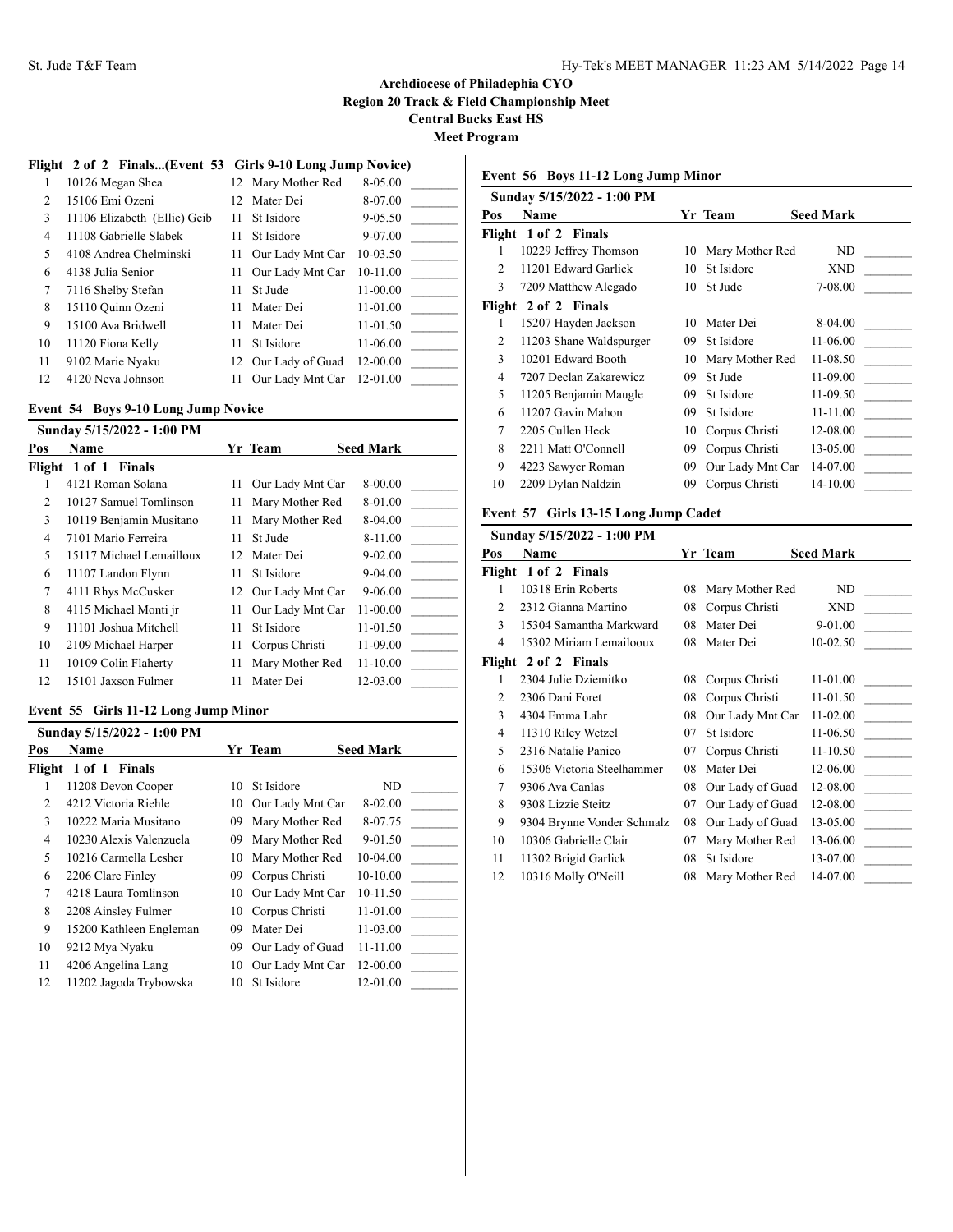# **Archdiocese of Philadephia CYO**

**Region 20 Track & Field Championship Meet**

**Central Bucks East HS**

**Meet Program**

# **Flight 2 of 2 Finals...(Event 53 Girls 9-10 Long Jump Novice)**

| 1  | 10126 Megan Shea             |     | 12 Mary Mother Red  | 8-05.00      |
|----|------------------------------|-----|---------------------|--------------|
| 2  | 15106 Emi Ozeni              |     | 12 Mater Dei        | 8-07.00      |
| 3  | 11106 Elizabeth (Ellie) Geib | 11  | St Isidore          | $9 - 05.50$  |
| 4  | 11108 Gabrielle Slabek       | 11  | St Isidore          | $9 - 07.00$  |
| 5  | 4108 Andrea Chelminski       |     | 11 Our Lady Mnt Car | $10-03.50$   |
| 6  | 4138 Julia Senior            | 11. | Our Lady Mnt Car    | 10-11.00     |
| 7  | 7116 Shelby Stefan           | 11  | St Jude             | $11 - 00.00$ |
| 8  | 15110 Quinn Ozeni            | 11  | Mater Dei           | $11 - 01.00$ |
| 9  | 15100 Ava Bridwell           | 11  | Mater Dei           | $11 - 01.50$ |
| 10 | 11120 Fiona Kelly            | 11  | St Isidore          | 11-06.00     |
| 11 | 9102 Marie Nyaku             | 12  | Our Lady of Guad    | 12-00.00     |
| 12 | 4120 Neva Johnson            | 11  | Our Lady Mnt Car    | 12-01.00     |
|    |                              |     |                     |              |

#### **Event 54 Boys 9-10 Long Jump Novice**

|                          | Sunday 5/15/2022 - 1:00 PM     |    |                     |                  |
|--------------------------|--------------------------------|----|---------------------|------------------|
| Pos                      | Name                           |    | Yr Team             | <b>Seed Mark</b> |
|                          | Flight 1 of 1<br><b>Finals</b> |    |                     |                  |
|                          | 4121 Roman Solana              | 11 | Our Lady Mnt Car    | 8-00.00          |
| 2                        | 10127 Samuel Tomlinson         | 11 | Mary Mother Red     | 8-01.00          |
| 3                        | 10119 Benjamin Musitano        | 11 | Mary Mother Red     | 8-04.00          |
| 4                        | 7101 Mario Ferreira            | 11 | St Jude             | 8-11.00          |
| $\overline{\phantom{0}}$ | 15117 Michael Lemailloux       | 12 | Mater Dei           | $9 - 02.00$      |
| 6                        | 11107 Landon Flynn             | 11 | St Isidore          | 9-04.00          |
| 7                        | 4111 Rhys McCusker             |    | 12 Our Lady Mnt Car | $9 - 06.00$      |
| 8                        | 4115 Michael Monti jr          | 11 | Our Lady Mnt Car    | 11-00.00         |
| 9                        | 11101 Joshua Mitchell          | 11 | St Isidore          | 11-01.50         |
| 10                       | 2109 Michael Harper            | 11 | Corpus Christi      | 11-09.00         |
| 11                       | 10109 Colin Flaherty           | 11 | Mary Mother Red     | $11 - 10.00$     |
| 12                       | 15101 Jaxson Fulmer            | 11 | Mater Dei           | 12-03.00         |

# **Event 55 Girls 11-12 Long Jump Minor**

|     | Sunday 5/15/2022 - 1:00 PM |     |                     |                  |
|-----|----------------------------|-----|---------------------|------------------|
| Pos | <b>Name</b>                |     | Yr Team             | <b>Seed Mark</b> |
|     | Flight 1 of 1 Finals       |     |                     |                  |
|     | 11208 Devon Cooper         | 10  | St Isidore          | ND               |
| 2   | 4212 Victoria Riehle       | 10  | Our Lady Mnt Car    | $8-02.00$        |
| 3   | 10222 Maria Musitano       | 09  | Mary Mother Red     | 8-07.75          |
| 4   | 10230 Alexis Valenzuela    | 09  | Mary Mother Red     | 9-01.50          |
| 5   | 10216 Carmella Lesher      | 10  | Mary Mother Red     | 10-04.00         |
| 6   | 2206 Clare Finley          | 09. | Corpus Christi      | 10-10.00         |
| 7   | 4218 Laura Tomlinson       |     | 10 Our Lady Mnt Car | 10-11.50         |
| 8   | 2208 Ainsley Fulmer        | 10  | Corpus Christi      | 11-01.00         |
| 9   | 15200 Kathleen Engleman    | 09  | Mater Dei           | 11-03.00         |
| 10  | 9212 Mya Nyaku             | 09  | Our Lady of Guad    | 11-11.00         |
| 11  | 4206 Angelina Lang         | 10  | Our Lady Mnt Car    | 12-00.00         |
| 12  | 11202 Jagoda Trybowska     | 10  | St Isidore          | 12-01.00         |

# **Event 56 Boys 11-12 Long Jump Minor**

|        | Sunday 5/15/2022 - 1:00 PM |    |                  |                  |
|--------|----------------------------|----|------------------|------------------|
| Pos    | Name                       |    | Yr Team          | <b>Seed Mark</b> |
|        | Flight 1 of 2 Finals       |    |                  |                  |
| 1      | 10229 Jeffrey Thomson      | 10 | Mary Mother Red  | ND               |
| 2      | 11201 Edward Garlick       | 10 | St Isidore       | <b>XND</b>       |
| 3      | 7209 Matthew Alegado       | 10 | St Jude          | 7-08.00          |
| Flight | 2 of 2 Finals              |    |                  |                  |
| 1      | 15207 Hayden Jackson       | 10 | Mater Dei        | 8-04.00          |
| 2      | 11203 Shane Waldspurger    | 09 | St Isidore       | 11-06.00         |
| 3      | 10201 Edward Booth         | 10 | Mary Mother Red  | 11-08.50         |
| 4      | 7207 Declan Zakarewicz     | 09 | St Jude          | 11-09.00         |
| 5      | 11205 Benjamin Maugle      | 09 | St Isidore       | 11-09.50         |
| 6      | 11207 Gavin Mahon          | 09 | St Isidore       | 11-11.00         |
| 7      | 2205 Cullen Heck           | 10 | Corpus Christi   | 12-08.00         |
| 8      | 2211 Matt O'Connell        | 09 | Corpus Christi   | 13-05.00         |
| 9      | 4223 Sawyer Roman          | 09 | Our Lady Mnt Car | 14-07.00         |
| 10     | 2209 Dylan Naldzin         | 09 | Corpus Christi   | 14-10.00         |
|        |                            |    |                  |                  |

# **Event 57 Girls 13-15 Long Jump Cadet**

|        | Sunday 5/15/2022 - 1:00 PM |    |                  |                  |
|--------|----------------------------|----|------------------|------------------|
| Pos    | Name                       |    | Yr Team          | <b>Seed Mark</b> |
|        | Flight 1 of 2 Finals       |    |                  |                  |
| 1      | 10318 Erin Roberts         | 08 | Mary Mother Red  | ND               |
| 2      | 2312 Gianna Martino        | 08 | Corpus Christi   | <b>XND</b>       |
| 3      | 15304 Samantha Markward    | 08 | Mater Dei        | 9-01.00          |
| 4      | 15302 Miriam Lemailooux    | 08 | Mater Dei        | 10-02.50         |
| Flight | 2 of 2 Finals              |    |                  |                  |
| 1      | 2304 Julie Dziemitko       | 08 | Corpus Christi   | 11-01.00         |
| 2      | 2306 Dani Foret            | 08 | Corpus Christi   | $11-01.50$       |
| 3      | 4304 Emma Lahr             | 08 | Our Lady Mnt Car | 11-02.00         |
| 4      | 11310 Riley Wetzel         | 07 | St Isidore       | 11-06.50         |
| 5      | 2316 Natalie Panico        | 07 | Corpus Christi   | $11 - 10.50$     |
| 6      | 15306 Victoria Steelhammer | 08 | Mater Dei        | 12-06.00         |
| 7      | 9306 Ava Canlas            | 08 | Our Lady of Guad | 12-08.00         |
| 8      | 9308 Lizzie Steitz         | 07 | Our Lady of Guad | 12-08.00         |
| 9      | 9304 Brynne Vonder Schmalz | 08 | Our Lady of Guad | 13-05.00         |
| 10     | 10306 Gabrielle Clair      | 07 | Mary Mother Red  | 13-06.00         |
| 11     | 11302 Brigid Garlick       | 08 | St Isidore       | 13-07.00         |
| 12     | 10316 Molly O'Neill        | 08 | Mary Mother Red  | 14-07.00         |
|        |                            |    |                  |                  |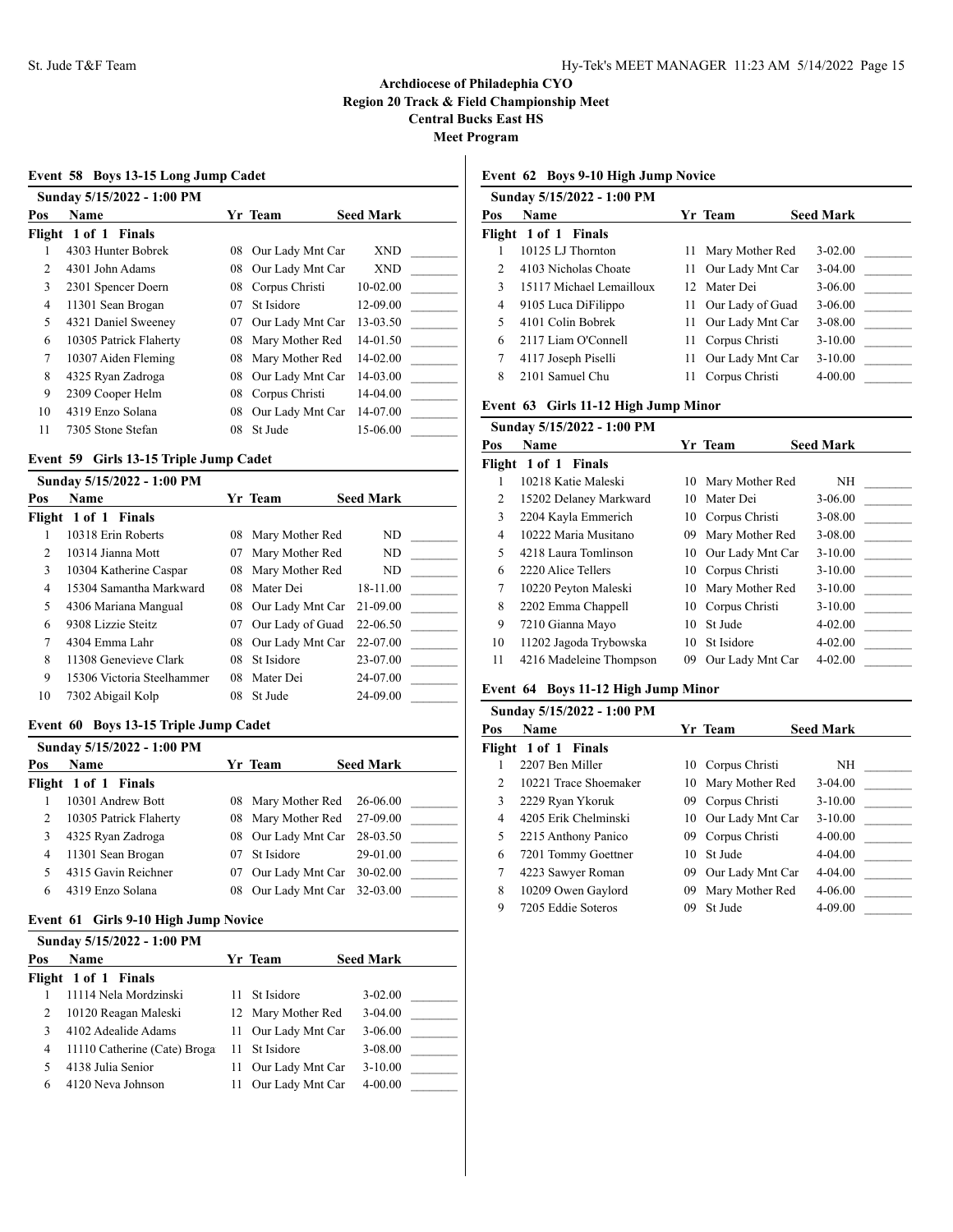| Event 58 Boys 13-15 Long Jump Cadet |                                |    |                  |                  |  |  |  |  |  |
|-------------------------------------|--------------------------------|----|------------------|------------------|--|--|--|--|--|
|                                     | Sunday 5/15/2022 - 1:00 PM     |    |                  |                  |  |  |  |  |  |
| Pos                                 | Name                           |    | Yr Team          | <b>Seed Mark</b> |  |  |  |  |  |
|                                     | Flight 1 of 1<br><b>Finals</b> |    |                  |                  |  |  |  |  |  |
|                                     | 4303 Hunter Bobrek             | 08 | Our Lady Mnt Car | <b>XND</b>       |  |  |  |  |  |
| $\mathfrak{D}$                      | 4301 John Adams                | 08 | Our Lady Mnt Car | <b>XND</b>       |  |  |  |  |  |
| 3                                   | 2301 Spencer Doern             | 08 | Corpus Christi   | 10-02.00         |  |  |  |  |  |
| 4                                   | 11301 Sean Brogan              | 07 | St Isidore       | 12-09.00         |  |  |  |  |  |
| 5                                   | 4321 Daniel Sweeney            | 07 | Our Lady Mnt Car | 13-03.50         |  |  |  |  |  |
| 6                                   | 10305 Patrick Flaherty         | 08 | Mary Mother Red  | 14-01.50         |  |  |  |  |  |
| 7                                   | 10307 Aiden Fleming            | 08 | Mary Mother Red  | 14-02.00         |  |  |  |  |  |
| 8                                   | 4325 Ryan Zadroga              | 08 | Our Lady Mnt Car | 14-03.00         |  |  |  |  |  |
| 9                                   | 2309 Cooper Helm               | 08 | Corpus Christi   | 14-04.00         |  |  |  |  |  |
| 10                                  | 4319 Enzo Solana               | 08 | Our Lady Mnt Car | 14-07.00         |  |  |  |  |  |
| 11                                  | 7305 Stone Stefan              | 08 | St Jude          | 15-06.00         |  |  |  |  |  |
|                                     |                                |    |                  |                  |  |  |  |  |  |

#### **Event 59 Girls 13-15 Triple Jump Cadet**

# **Sunday 5/15/2022 - 1:00 PM**

| Pos | <b>Name</b>                |    | Yr Team                      | <b>Seed Mark</b> |  |
|-----|----------------------------|----|------------------------------|------------------|--|
|     | Flight 1 of 1 Finals       |    |                              |                  |  |
|     | 10318 Erin Roberts         |    | 08 Mary Mother Red           | ND               |  |
| 2   | 10314 Jianna Mott          |    | 07 Mary Mother Red           | ND               |  |
| 3   | 10304 Katherine Caspar     |    | 08 Mary Mother Red           | ND               |  |
| 4   | 15304 Samantha Markward    |    | 08 Mater Dei                 | 18-11.00         |  |
| 5   | 4306 Mariana Mangual       |    | 08 Our Lady Mnt Car 21-09.00 |                  |  |
| 6   | 9308 Lizzie Steitz         |    | 07 Our Lady of Guad          | 22-06.50         |  |
| 7   | 4304 Emma Lahr             |    | 08 Our Lady Mnt Car          | 22-07.00         |  |
| 8   | 11308 Genevieve Clark      |    | 08 St Isidore                | 23-07.00         |  |
| 9   | 15306 Victoria Steelhammer |    | 08 Mater Dei                 | 24-07.00         |  |
| 10  | 7302 Abigail Kolp          | 08 | St Jude                      | 24-09.00         |  |
|     |                            |    |                              |                  |  |

#### **Event 60 Boys 13-15 Triple Jump Cadet**

|     | Sunday 5/15/2022 - 1:00 PM |    |                              |                  |  |
|-----|----------------------------|----|------------------------------|------------------|--|
| Pos | <b>Name</b>                |    | Yr Team                      | <b>Seed Mark</b> |  |
|     | Flight 1 of 1 Finals       |    |                              |                  |  |
|     | 10301 Andrew Bott          |    | 08 Mary Mother Red           | 26-06.00         |  |
| 2   | 10305 Patrick Flaherty     |    | 08 Mary Mother Red           | 27-09.00         |  |
| 3   | 4325 Ryan Zadroga          |    | 08 Our Lady Mnt Car 28-03.50 |                  |  |
| 4   | 11301 Sean Brogan          | 07 | St Isidore                   | 29-01.00         |  |
|     | 4315 Gavin Reichner        | 07 | Our Lady Mnt Car             | $30 - 02.00$     |  |
| 6   | 4319 Enzo Solana           | 08 | Our Lady Mnt Car 32-03.00    |                  |  |

#### **Event 61 Girls 9-10 High Jump Novice**

|     | Sunday 5/15/2022 - 1:00 PM   |    |                    |                  |  |
|-----|------------------------------|----|--------------------|------------------|--|
| Pos | <b>Name</b>                  |    | Yr Team            | <b>Seed Mark</b> |  |
|     | Flight 1 of 1 Finals         |    |                    |                  |  |
|     | 11114 Nela Mordzinski        |    | St Isidore         | $3 - 02.00$      |  |
| 2   | 10120 Reagan Maleski         |    | 12 Mary Mother Red | $3-04.00$        |  |
|     | 4102 Adealide Adams          | 11 | Our Lady Mnt Car   | $3 - 06.00$      |  |
| 4   | 11110 Catherine (Cate) Broga | 11 | St Isidore         | 3-08.00          |  |
|     | 4138 Julia Senior            | 11 | Our Lady Mnt Car   | $3 - 10.00$      |  |
|     | 4120 Neva Johnson            |    | Our Lady Mnt Car   | $4 - 00.00$      |  |

# **Event 62 Boys 9-10 High Jump Novice**

|     | Sunday 5/15/2022 - 1:00 PM |    |                     |                  |  |
|-----|----------------------------|----|---------------------|------------------|--|
| Pos | <b>Name</b>                |    | Yr Team             | <b>Seed Mark</b> |  |
|     | Flight 1 of 1 Finals       |    |                     |                  |  |
|     | 10125 LJ Thornton          |    | 11 Mary Mother Red  | $3-02.00$        |  |
|     | 4103 Nicholas Choate       |    | 11 Our Lady Mnt Car | $3-04.00$        |  |
| 3   | 15117 Michael Lemailloux   |    | 12 Mater Dei        | $3-06.00$        |  |
| 4   | 9105 Luca DiFilippo        |    | 11 Our Lady of Guad | $3-06.00$        |  |
| 5   | 4101 Colin Bobrek          |    | 11 Our Lady Mnt Car | 3-08.00          |  |
| 6   | 2117 Liam O'Connell        | 11 | Corpus Christi      | $3-10.00$        |  |
| 7   | 4117 Joseph Piselli        |    | 11 Our Lady Mnt Car | $3-10.00$        |  |
| 8   | 2101 Samuel Chu            | 11 | Corpus Christi      | $4 - 00.00$      |  |
|     |                            |    |                     |                  |  |

#### **Event 63 Girls 11-12 High Jump Minor**

|     | Sunday 5/15/2022 - 1:00 PM |     |                     |                  |
|-----|----------------------------|-----|---------------------|------------------|
| Pos | <b>Name</b>                |     | Yr Team             | <b>Seed Mark</b> |
|     | Flight 1 of 1 Finals       |     |                     |                  |
|     | 10218 Katie Maleski        | 10  | Mary Mother Red     | NH               |
| 2   | 15202 Delaney Markward     | 10. | Mater Dei           | $3-06.00$        |
| 3   | 2204 Kayla Emmerich        |     | 10 Corpus Christi   | 3-08.00          |
| 4   | 10222 Maria Musitano       | 09  | Mary Mother Red     | 3-08.00          |
| 5   | 4218 Laura Tomlinson       |     | 10 Our Lady Mnt Car | $3-10.00$        |
| 6   | 2220 Alice Tellers         |     | 10 Corpus Christi   | $3-10.00$        |
| 7   | 10220 Peyton Maleski       | 10  | Mary Mother Red     | $3-10.00$        |
| 8   | 2202 Emma Chappell         |     | 10 Corpus Christi   | $3-10.00$        |
| 9   | 7210 Gianna Mayo           | 10  | St Jude             | $4 - 02.00$      |
| 10  | 11202 Jagoda Trybowska     | 10  | St Isidore          | $4 - 02.00$      |
| 11  | 4216 Madeleine Thompson    | 09  | Our Lady Mnt Car    | 4-02.00          |
|     |                            |     |                     |                  |

### **Event 64 Boys 11-12 High Jump Minor**

|               | Sunday 5/15/2022 - 1:00 PM |     |                     |                  |
|---------------|----------------------------|-----|---------------------|------------------|
| Pos           | Name                       |     | Yr Team             | <b>Seed Mark</b> |
|               | Flight 1 of 1 Finals       |     |                     |                  |
|               | 2207 Ben Miller            |     | 10 Corpus Christi   | ΝH               |
| $\mathcal{D}$ | 10221 Trace Shoemaker      |     | 10 Mary Mother Red  | $3-04.00$        |
| 3             | 2229 Ryan Ykoruk           | 09  | Corpus Christi      | $3-10.00$        |
| 4             | 4205 Erik Chelminski       |     | 10 Our Lady Mnt Car | $3-10.00$        |
| 5             | 2215 Anthony Panico        |     | 09 Corpus Christi   | $4 - 00.00$      |
| 6             | 7201 Tommy Goettner        | 10  | St Jude             | 4-04.00          |
| 7             | 4223 Sawyer Roman          | 09. | Our Lady Mnt Car    | $4-04.00$        |
| 8             | 10209 Owen Gaylord         | 09  | Mary Mother Red     | 4-06.00          |
| 9             | 7205 Eddie Soteros         |     | St Jude             | 4-09.00          |